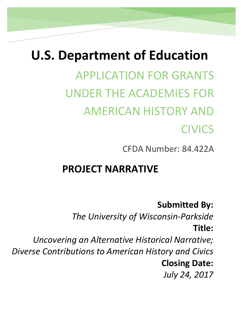# **U.S. Department of Education**

APPLICATION FOR GRANTS UNDER THE ACADEMIES FOR AMERICAN HISTORY AND CIVICS

CFDA Number: 84.422A

# **PROJECT NARRATIVE**

# **Submitted By:**

*The University of Wisconsin-Parkside* **Title:** 

*Uncovering an Alternative Historical Narrative; Diverse Contributions to American History and Civics* **Closing Date:**  *July 24, 2017*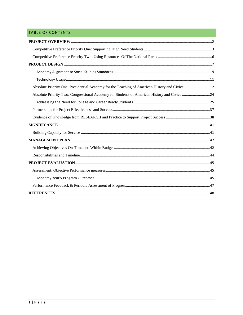# TABLE OF CONTENTS

| Absolute Priority One: Presidential Academy for the Teaching of American History and Civics 12 |  |
|------------------------------------------------------------------------------------------------|--|
| Absolute Priority Two: Congressional Academy for Students of American History and Civics 24    |  |
|                                                                                                |  |
|                                                                                                |  |
|                                                                                                |  |
|                                                                                                |  |
|                                                                                                |  |
|                                                                                                |  |
|                                                                                                |  |
|                                                                                                |  |
|                                                                                                |  |
|                                                                                                |  |
|                                                                                                |  |
|                                                                                                |  |
|                                                                                                |  |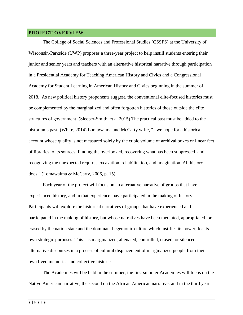#### <span id="page-2-0"></span>**PROJECT OVERVIEW**

The College of Social Sciences and Professional Studies (CSSPS) at the University of Wisconsin-Parkside (UWP) proposes a three-year project to help instill students entering their junior and senior years and teachers with an alternative historical narrative through participation in a Presidential Academy for Teaching American History and Civics and a Congressional Academy for Student Learning in American History and Civics beginning in the summer of 2018. As new political history proponents suggest, the conventional elite-focused histories must be complemented by the marginalized and often forgotten histories of those outside the elite structures of government. (Sleeper-Smith, et al 2015) The practical past must be added to the historian's past. (White, 2014) Lomawaima and McCarty write, "...we hope for a historical account whose quality is not measured solely by the cubic volume of archival boxes or linear feet of libraries to its sources. Finding the overlooked, recovering what has been suppressed, and recognizing the unexpected requires excavation, rehabilitation, and imagination. All history does." (Lomawaima & McCarty, 2006, p. 15)

Each year of the project will focus on an alternative narrative of groups that have experienced history, and in that experience, have participated in the making of history. Participants will explore the historical narratives of groups that have experienced and participated in the making of history, but whose narratives have been mediated, appropriated, or erased by the nation state and the dominant hegemonic culture which justifies its power, for its own strategic purposes. This has marginalized, alienated, controlled, erased, or silenced alternative discourses in a process of cultural displacement of marginalized people from their own lived memories and collective histories.

The Academies will be held in the summer; the first summer Academies will focus on the Native American narrative, the second on the African American narrative, and in the third year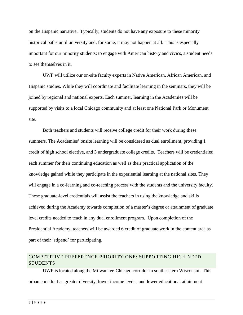on the Hispanic narrative. Typically, students do not have any exposure to these minority historical paths until university and, for some, it may not happen at all. This is especially important for our minority students; to engage with American history and civics, a student needs to see themselves in it.

UWP will utilize our on-site faculty experts in Native American, African American, and Hispanic studies. While they will coordinate and facilitate learning in the seminars, they will be joined by regional and national experts. Each summer, learning in the Academies will be supported by visits to a local Chicago community and at least one National Park or Monument site.

Both teachers and students will receive college credit for their work during these summers. The Academies' onsite learning will be considered as dual enrollment, providing 1 credit of high school elective, and 3 undergraduate college credits. Teachers will be credentialed each summer for their continuing education as well as their practical application of the knowledge gained while they participate in the experiential learning at the national sites. They will engage in a co-learning and co-teaching process with the students and the university faculty. These graduate-level credentials will assist the teachers in using the knowledge and skills achieved during the Academy towards completion of a master's degree or attainment of graduate level credits needed to teach in any dual enrollment program. Upon completion of the Presidential Academy, teachers will be awarded 6 credit of graduate work in the content area as part of their 'stipend' for participating.

# <span id="page-3-0"></span>COMPETITIVE PREFERENCE PRIORITY ONE: SUPPORTING HIGH NEED **STUDENTS**

UWP is located along the Milwaukee-Chicago corridor in southeastern Wisconsin. This urban corridor has greater diversity, lower income levels, and lower educational attainment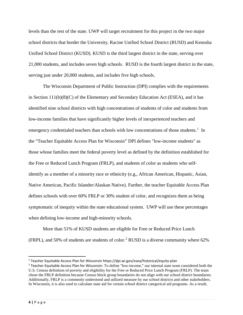levels than the rest of the state. UWP will target recruitment for this project in the two major school districts that border the University, Racine Unified School District (RUSD) and Kenosha Unified School District (KUSD). KUSD is the third largest district in the state, serving over 21,000 students, and includes seven high schools. RUSD is the fourth largest district in the state, serving just under 20,000 students, and includes five high schools.

The Wisconsin Department of Public Instruction (DPI) complies with the requirements in Section 111(b)(8)(C) of the Elementary and Secondary Education Act (ESEA), and it has identified nine school districts with high concentrations of students of color and students from low-income families that have significantly higher levels of inexperienced teachers and emergency credentialed teachers than schools with low concentrations of those students.<sup>[1](#page-4-0)</sup> In the "Teacher Equitable Access Plan for Wisconsin" DPI defines "low-income students" as those whose families meet the federal poverty level as defined by the definition established for the Free or Reduced Lunch Program (FRLP), and students of color as students who selfidentify as a member of a minority race or ethnicity (e.g., African American, Hispanic, Asian, Native American, Pacific Islander/Alaskan Native). Further, the teacher Equitable Access Plan defines schools with over 60% FRLP or 30% student of color, and recognizes them as being symptomatic of inequity within the state educational system. UWP will use these percentages when defining low-income and high-minority schools.

More than 51% of KUSD students are eligible for Free or Reduced Price Lunch (FRPL), and 50% of students are students of color.<sup>[2](#page-4-1)</sup> RUSD is a diverse community where  $62\%$ 

<span id="page-4-0"></span> <sup>1</sup> Teacher Equitable Access Plan for Wisconsin https://dpi.wi.gov/esea/historical/equity-plan

<span id="page-4-1"></span><sup>&</sup>lt;sup>2</sup> Teacher Equitable Access Plan for Wisconsin: To define "low-income," our internal state team considered both the U.S. Census definition of poverty and eligibility for the Free or Reduced Price Lunch Program (FRLP). The team chose the FRLP definition because Census block group boundaries do not align with our school district boundaries. Additionally, FRLP is a commonly understood and utilized measure by our school districts and other stakeholders. In Wisconsin, it is also used to calculate state aid for certain school district categorical aid programs. As a result,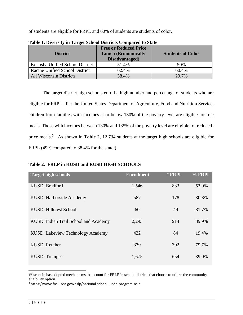of students are eligible for FRPL and 60% of students are students of color.

| <b>District</b>                 | <b>Free or Reduced Price</b><br><b>Lunch (Economically</b><br>Disadvantaged) | <b>Students of Color</b> |
|---------------------------------|------------------------------------------------------------------------------|--------------------------|
| Kenosha Unified School District | 51.4%                                                                        | 50%                      |
| Racine Unified School District  | 62.4%                                                                        | 60.4%                    |
| <b>All Wisconsin Districts</b>  | 38.4%                                                                        | 29.7%                    |

**Table 1. Diversity in Target School Districts Compared to State**

The target district high schools enroll a high number and percentage of students who are eligible for FRPL. Per the United States Department of Agriculture, Food and Nutrition Service, children from families with incomes at or below 130% of the poverty level are eligible for free meals. Those with incomes between 130% and 185% of the poverty level are eligible for reducedprice meals. [3](#page-5-0) As shown in **Table 2**, 12,734 students at the target high schools are eligible for FRPL (49% compared to 38.4% for the state.).

#### **Table 2. FRLP in KUSD and RUSD HIGH SCHOOLS**

| <b>Target high schools</b>            | <b>Enrollment</b> | # FRPL | % FRPL |
|---------------------------------------|-------------------|--------|--------|
| KUSD: Bradford                        | 1,546             | 833    | 53.9%  |
| KUSD: Harborside Academy              | 587               | 178    | 30.3%  |
| KUSD: Hillcrest School                | 60                | 49     | 81.7%  |
| KUSD: Indian Trail School and Academy | 2,293             | 914    | 39.9%  |
| KUSD: Lakeview Technology Academy     | 432               | 84     | 19.4%  |
| <b>KUSD: Reuther</b>                  | 379               | 302    | 79.7%  |
| <b>KUSD: Tremper</b>                  | 1,675             | 654    | 39.0%  |

Wisconsin has adopted mechanisms to account for FRLP in school districts that choose to utilize the community eligibility option.

 $\overline{a}$ 

<span id="page-5-0"></span><sup>3</sup> https://www.fns.usda.gov/nslp/national-school-lunch-program-nslp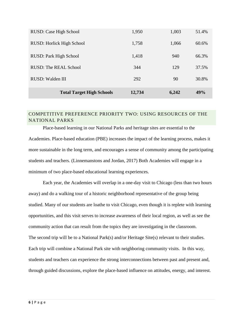| <b>Total Target High Schools</b> | 12,734 | 6,242 | 49%   |
|----------------------------------|--------|-------|-------|
| RUSD: Walden III                 | 292    | 90    | 30.8% |
| <b>RUSD: The REAL School</b>     | 344    | 129   | 37.5% |
| RUSD: Park High School           | 1,418  | 940   | 66.3% |
| RUSD: Horlick High School        | 1,758  | 1,066 | 60.6% |
| RUSD: Case High School           | 1,950  | 1,003 | 51.4% |

# <span id="page-6-0"></span>COMPETITIVE PREFERENCE PRIORITY TWO: USING RESOURCES OF THE NATIONAL PARKS

Place-based learning in our National Parks and heritage sites are essential to the Academies. Place-based education (PBE) increases the impact of the learning process, makes it more sustainable in the long term, and encourages a sense of community among the participating students and teachers. (Linnemanstons and Jordan, 2017) Both Academies will engage in a minimum of two place-based educational learning experiences.

Each year, the Academies will overlap in a one-day visit to Chicago (less than two hours away) and do a walking tour of a historic neighborhood representative of the group being studied. Many of our students are loathe to visit Chicago, even though it is replete with learning opportunities, and this visit serves to increase awareness of their local region, as well as see the community action that can result from the topics they are investigating in the classroom. The second trip will be to a National Park(s) and/or Heritage Site(s) relevant to their studies. Each trip will combine a National Park site with neighboring community visits. In this way, students and teachers can experience the strong interconnections between past and present and, through guided discussions, explore the place-based influence on attitudes, energy, and interest.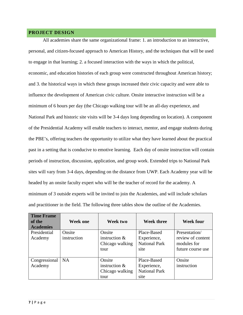#### <span id="page-7-0"></span>**PROJECT DESIGN**

All academies share the same organizational frame: 1. an introduction to an interactive, personal, and citizen-focused approach to American History, and the techniques that will be used to engage in that learning; 2. a focused interaction with the ways in which the political, economic, and education histories of each group were constructed throughout American history; and 3. the historical ways in which these groups increased their civic capacity and were able to influence the development of American civic culture. Onsite interactive instruction will be a minimum of 6 hours per day (the Chicago walking tour will be an all-day experience, and National Park and historic site visits will be 3-4 days long depending on location). A component of the Presidential Academy will enable teachers to interact, mentor, and engage students during the PBE's, offering teachers the opportunity to utilize what they have learned about the practical past in a setting that is conducive to emotive learning. Each day of onsite instruction will contain periods of instruction, discussion, application, and group work. Extended trips to National Park sites will vary from 3-4 days, depending on the distance from UWP. Each Academy year will be headed by an onsite faculty expert who will be the teacher of record for the academy. A minimum of 3 outside experts will be invited to join the Academies, and will include scholars and practitioner in the field. The following three tables show the outline of the Academies.

| <b>Time Frame</b><br>of the<br><b>Academies</b> | <b>Week one</b>       | Week two                                             | <b>Week three</b>                                          | <b>Week four</b>                                                      |
|-------------------------------------------------|-----------------------|------------------------------------------------------|------------------------------------------------------------|-----------------------------------------------------------------------|
| Presidential<br>Academy                         | Onsite<br>instruction | Onsite<br>instruction $&$<br>Chicago walking<br>tour | Place-Based<br>Experience,<br><b>National Park</b><br>site | Presentation<br>review of content<br>modules for<br>future course use |
| Congressional<br>Academy                        | <b>NA</b>             | Onsite<br>instruction $&$<br>Chicago walking<br>tour | Place-Based<br>Experience,<br><b>National Park</b><br>site | Onsite<br>instruction                                                 |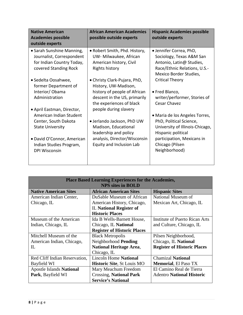| <b>Native American</b><br><b>Academies possible</b><br>outside experts                                       | <b>African American Academies</b><br>possible outside experts                                       | <b>Hispanic Academies possible</b><br>outside experts                                                                                     |
|--------------------------------------------------------------------------------------------------------------|-----------------------------------------------------------------------------------------------------|-------------------------------------------------------------------------------------------------------------------------------------------|
| • Sarah Sunshine Manning,<br>Journalist, Correspondent<br>for Indian Country Today,<br>covered Standing Rock | • Robert Smith, Phd. History,<br>UW-Milwaukee, African<br>American history, Civil<br>Rights history | • Jennifer Correa, PhD,<br>Sociology, Texas A&M San<br>Antonio, Latin@ Studies,<br>Race/Ethnic Relations, U.S.-<br>Mexico Border Studies, |
| • Sedelta Oosahwee,<br>former Department of                                                                  | • Christy Clark-Pujara, PhD,<br>History, UW-Madison,                                                | <b>Critical Theory</b>                                                                                                                    |
| Interior/Obama<br>Administration                                                                             | history of people of African<br>descent in the US, primarily<br>the experiences of black            | • Fred Blanco,<br>writer/performer, Stories of<br>Cesar Chavez                                                                            |
| · April Eastman, Director,<br>American Indian Student                                                        | people during slavery                                                                               | • Maria de los Angeles Torres,                                                                                                            |
| Center, South Dakota<br><b>State University</b>                                                              | · Jerlando Jackson, PhD UW<br>Madison, Educational<br>leadership and policy                         | PhD, Political Science,<br>University of Illinois-Chicago,<br>Hispanic political                                                          |
| • David O'Connor, American<br>Indian Studies Program,<br><b>DPI Wisconsin</b>                                | analysis, Director/Wisconsin<br>Equity and Inclusion Lab                                            | participation, Mexicans in<br>Chicago (Pilsen<br>Neighborhood)                                                                            |

| <b>Place Based Learning Experiences for the Academies,</b><br><b>NPS sites in BOLD</b> |                                    |                                    |  |
|----------------------------------------------------------------------------------------|------------------------------------|------------------------------------|--|
| <b>Native American Sites</b>                                                           | <b>African American Sites</b>      | <b>Hispanic Sites</b>              |  |
| American Indian Center,                                                                | DuSable Museum of African          | National Museum of                 |  |
| Chicago, IL                                                                            | American History, Chicago,         | Mexican Art, Chicago, IL           |  |
|                                                                                        | <b>IL National Register of</b>     |                                    |  |
|                                                                                        | <b>Historic Places</b>             |                                    |  |
| Museum of the American                                                                 | Ida B Wells-Barnett House,         | Institute of Puerto Rican Arts     |  |
| Indian, Chicago, IL                                                                    | Chicago, IL National               | and Culture, Chicago, IL           |  |
|                                                                                        | <b>Register of Historic Places</b> |                                    |  |
| Mitchell Museum of the                                                                 | <b>Black Metropolis</b>            | Pilsen Neighborhood,               |  |
| American Indian, Chicago,                                                              | Neighborhood Pending               | Chicago, IL National               |  |
| $_{\rm IL}$                                                                            | <b>National Heritage Area,</b>     | <b>Register of Historic Places</b> |  |
|                                                                                        | Chicago, IL                        |                                    |  |
| Red Cliff Indian Reservation,                                                          | <b>Lincoln Home National</b>       | <b>Chamizal National</b>           |  |
| Bayfield WI                                                                            | <b>Historic Site, St Louis MO</b>  | <b>Memorial, El Paso TX</b>        |  |
| <b>Apostle Islands National</b>                                                        | Mary Meachum Freedom               | El Camino Real de Tierra           |  |
| Park, Bayfield WI                                                                      | <b>Crossing, National Park</b>     | <b>Adentro National Historic</b>   |  |
|                                                                                        | <b>Service's National</b>          |                                    |  |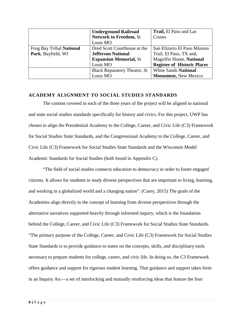|                          | <b>Underground Railroad</b>         | Trail, El Paso and Las             |
|--------------------------|-------------------------------------|------------------------------------|
|                          | <b>Network to Freedom, St</b>       | Cruses                             |
|                          | Louis MO                            |                                    |
| Frog Bay Tribal National | Dred Scott Courthouse at the        | San Elizario El Paso Mission       |
| Park, Bayfield, WI       | <b>Jefferson National</b>           | Trail, El Paso, TX and,            |
|                          | <b>Expansion Memorial, St</b>       | Magoffin Home, National            |
|                          | Louis MO                            | <b>Register of Historic Places</b> |
|                          | <b>Black Reparatory Theatre, St</b> | <b>White Sands National</b>        |
|                          | Louis MO                            | <b>Monument, New Mexico</b>        |

#### <span id="page-9-0"></span>**ACADEMY ALIGNMENT TO SOCIAL STUDIES STANDARDS**

The content covered in each of the three years of the project will be aligned to national and state social studies standards specifically for history and civics. For this project, UWP has chosen to align the Presidential Academy to the College, Career, and Civic Life (C3) Framework for Social Studies State Standards, and the Congressional Academy to the College, Career, and Civic Life (C3) Framework for Social Studies State Standards and the Wisconsin Model Academic Standards for Social Studies (both found in Appendix C).

"The field of social studies connects education to democracy in order to foster engaged citizens. It allows for students to study diverse perspectives that are important to living, learning, and working in a globalized world and a changing nation". (Carey, 2015) The goals of the Academies align directly to the concept of learning from diverse perspectives through the alternative narratives supported heavily through informed inquiry, which is the foundation behind the College, Career, and Civic Life (C3) Framework for Social Studies State Standards. "The primary purpose of the College, Career, and Civic Life (C3) Framework for Social Studies State Standards is to provide guidance to states on the concepts, skills, and disciplinary tools necessary to prepare students for college, career, and civic life. In doing so, the C3 Framework offers guidance and support for rigorous student learning. That guidance and support takes form in an Inquiry Arc—a set of interlocking and mutually reinforcing ideas that feature the four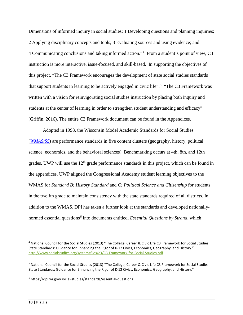Dimensions of informed inquiry in social studies: 1 Developing questions and planning inquiries; 2 Applying disciplinary concepts and tools; 3 Evaluating sources and using evidence; and 4 Communicating conclusions and taking informed action."[4](#page-10-0) From a student's point of view, C3 instruction is more interactive, issue-focused, and skill-based. In supporting the objectives of this project, "The C3 Framework encourages the development of state social studies standards that support students in learning to be actively engaged in civic life".<sup>[5](#page-10-1)</sup> "The C3 Framework was written with a vision for reinvigorating social studies instruction by placing both inquiry and students at the center of learning in order to strengthen student understanding and efficacy" (Griffin, 2016). The entire C3 Framework document can be found in the Appendices.

Adopted in 1998, the Wisconsin Model Academic Standards for Social Studies (*[WMAS/SS](https://dpi.wi.gov/social-studies/standards)*) are performance standards in five content clusters (geography, history, political science, economics, and the behavioral sciences). Benchmarking occurs at 4th, 8th, and 12th grades. UWP will use the  $12<sup>th</sup>$  grade performance standards in this project, which can be found in the appendices. UWP aligned the Congressional Academy student learning objectives to the WMAS for *Standard B: History Standard* and *C: Political Science and Citizenship* for students in the twelfth grade to maintain consistency with the state standards required of all districts. In addition to the WMAS, DPI has taken a further look at the standards and developed nationally-normed essential questions<sup>[6](#page-10-2)</sup> into documents entitled, *Essential Questions by Strand*, which

 $\overline{a}$ 

<span id="page-10-0"></span><sup>4</sup> National Council for the Social Studies (2013) "The College, Career & Civic Life C3 Framework for Social Studies State Standards: Guidance for Enhancing the Rigor of K-12 Civics, Economics, Geography, and History." <http://www.socialstudies.org/system/files/c3/C3-Framework-for-Social-Studies.pdf>

<span id="page-10-1"></span><sup>5</sup> National Council for the Social Studies (2013) "The College, Career & Civic Life C3 Framework for Social Studies State Standards: Guidance for Enhancing the Rigor of K-12 Civics, Economics, Geography, and History."

<span id="page-10-2"></span><sup>6</sup> <https://dpi.wi.gov/social-studies/standards/essential-questions>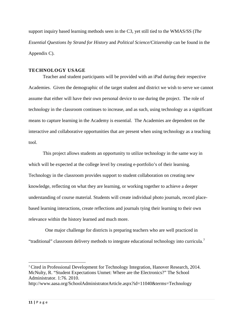support inquiry based learning methods seen in the C3, yet still tied to the WMAS/SS (*The Essential Questions by Strand for History* and *Political Science/Citizenship* can be found in the Appendix C).

#### <span id="page-11-0"></span>**TECHNOLOGY USAGE**

Teacher and student participants will be provided with an iPad during their respective Academies. Given the demographic of the target student and district we wish to serve we cannot assume that either will have their own personal device to use during the project. The role of technology in the classroom continues to increase, and as such, using technology as a significant means to capture learning in the Academy is essential. The Academies are dependent on the interactive and collaborative opportunities that are present when using technology as a teaching tool.

This project allows students an opportunity to utilize technology in the same way in which will be expected at the college level by creating e-portfolio's of their learning. Technology in the classroom provides support to student collaboration on creating new knowledge, reflecting on what they are learning, or working together to achieve a deeper understanding of course material. Students will create individual photo journals, record placebased learning interactions, create reflections and journals tying their learning to their own relevance within the history learned and much more.

 One major challenge for districts is preparing teachers who are well practiced in "traditional" classroom delivery methods to integrate educational technology into curricula.<sup>[7](#page-11-1)</sup>

 $\overline{a}$ 

<span id="page-11-1"></span><sup>7</sup> Cited in Professional Development for Technology Integration, Hanover Research, 2014. McNulty, R. "Student Expectations Unmet: Where are the Electronics?" The School Administrator. 1:76. 2010.

http://www.aasa.org/SchoolAdministratorArticle.aspx?id=11040&terms=Technology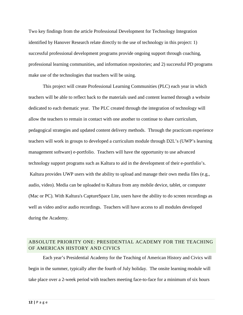Two key findings from the article Professional Development for Technology Integration identified by Hanover Research relate directly to the use of technology in this project: 1) successful professional development programs provide ongoing support through coaching, professional learning communities, and information repositories; and 2) successful PD programs make use of the technologies that teachers will be using.

This project will create Professional Learning Communities (PLC) each year in which teachers will be able to reflect back to the materials used and content learned through a website dedicated to each thematic year. The PLC created through the integration of technology will allow the teachers to remain in contact with one another to continue to share curriculum, pedagogical strategies and updated content delivery methods. Through the practicum experience teachers will work in groups to developed a curriculum module through D2L's (UWP's learning management software) e-portfolio. Teachers will have the opportunity to use advanced technology support programs such as Kaltura to aid in the development of their e-portfolio's. Kaltura provides UWP users with the ability to upload and manage their own media files (e.g., audio, video). Media can be uploaded to Kaltura from any mobile device, tablet, or computer (Mac or PC). With Kaltura's CaptureSpace Lite, users have the ability to do screen recordings as well as video and/or audio recordings. Teachers will have access to all modules developed during the Academy.

### <span id="page-12-0"></span>ABSOLUTE PRIORITY ONE: PRESIDENTIAL ACADEMY FOR THE TEACHING OF AMERICAN HISTORY AND CIVICS

Each year's Presidential Academy for the Teaching of American History and Civics will begin in the summer, typically after the fourth of July holiday. The onsite learning module will take place over a 2-week period with teachers meeting face-to-face for a minimum of six hours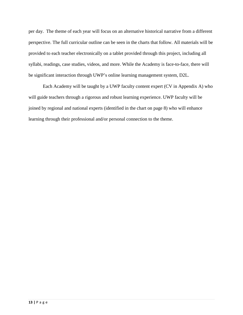per day. The theme of each year will focus on an alternative historical narrative from a different perspective. The full curricular outline can be seen in the charts that follow. All materials will be provided to each teacher electronically on a tablet provided through this project, including all syllabi, readings, case studies, videos, and more. While the Academy is face-to-face, there will be significant interaction through UWP's online learning management system, D2L.

Each Academy will be taught by a UWP faculty content expert (CV in Appendix A) who will guide teachers through a rigorous and robust learning experience. UWP faculty will be joined by regional and national experts (identified in the chart on page 8) who will enhance learning through their professional and/or personal connection to the theme.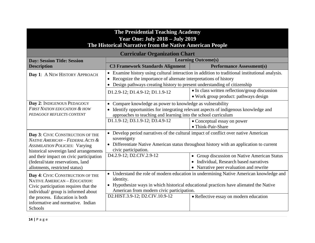| <b>The Presidential Teaching Academy</b><br><b>Year One: July 2018 - July 2019</b><br>The Historical Narrative from the Native American People  |                                                                                                                                                                                                                                                                                                                                 |                                                                                               |  |
|-------------------------------------------------------------------------------------------------------------------------------------------------|---------------------------------------------------------------------------------------------------------------------------------------------------------------------------------------------------------------------------------------------------------------------------------------------------------------------------------|-----------------------------------------------------------------------------------------------|--|
| <b>Curricular Organization Chart</b>                                                                                                            |                                                                                                                                                                                                                                                                                                                                 |                                                                                               |  |
| <b>Day: Session Title: Session</b>                                                                                                              |                                                                                                                                                                                                                                                                                                                                 | <b>Learning Outcome(s)</b>                                                                    |  |
| <b>Description</b>                                                                                                                              | <b>C3 Framework Standards Alignment</b>                                                                                                                                                                                                                                                                                         | <b>Performance Assessment(s)</b>                                                              |  |
| Day 1: A NEW HISTORY APPROACH                                                                                                                   |                                                                                                                                                                                                                                                                                                                                 | Examine history using cultural interaction in addition to traditional institutional analysis. |  |
|                                                                                                                                                 | Recognize the importance of alternate interpretations of history                                                                                                                                                                                                                                                                |                                                                                               |  |
|                                                                                                                                                 | Design pathways creating history to present understanding of citizenship                                                                                                                                                                                                                                                        |                                                                                               |  |
|                                                                                                                                                 | D1.2.9-12; D1.4.9-12; D1.1.9-12                                                                                                                                                                                                                                                                                                 | • In class written reflection/group discussion<br>• Work group product: pathways design       |  |
| Day 2: INDIGENOUS PEDAGOGY                                                                                                                      | • Compare knowledge as power to knowledge as vulnerability                                                                                                                                                                                                                                                                      |                                                                                               |  |
| <b>FIRST NATION EDUCATION &amp; HOW</b><br>PEDAGOGY REFLECTS CONTENT                                                                            | Identify opportunities for integrating relevant aspects of indigenous knowledge and<br>approaches to teaching and learning into the school curriculum                                                                                                                                                                           |                                                                                               |  |
|                                                                                                                                                 | D1.1.9-12; D3.1.9-12; D3.4.9-12<br>• Conceptual essay on power                                                                                                                                                                                                                                                                  |                                                                                               |  |
|                                                                                                                                                 |                                                                                                                                                                                                                                                                                                                                 | • Think-Pair-Share                                                                            |  |
| Day 3: CIVIC CONSTRUCTION OF THE<br>NATIVE AMERICAN - FEDERAL ACTS &<br><b>ASSIMILATION POLICIES: Varying</b>                                   | Develop period narratives of the cultural impact of conflict over native American<br>sovereignty<br>• Differentiate Native American status throughout history with an application to current                                                                                                                                    |                                                                                               |  |
| historical sovereign land arrangements                                                                                                          | civic participation.                                                                                                                                                                                                                                                                                                            |                                                                                               |  |
| and their impact on civic participation                                                                                                         | D <sub>4.2.9</sub> -12; D <sub>2</sub> .CIV.2.9-12                                                                                                                                                                                                                                                                              | • Group discussion on Native American Status                                                  |  |
| (federal/state reservations, land                                                                                                               |                                                                                                                                                                                                                                                                                                                                 | • Individual, Research based narratives                                                       |  |
| allotments, restricted status)                                                                                                                  |                                                                                                                                                                                                                                                                                                                                 | • Narrative peer evaluation and rewrite                                                       |  |
| Day 4: CIVIC CONSTRUCTION OF THE<br>NATIVE AMERICAN - EDUCATION:<br>Civic participation requires that the<br>individual/group is informed about | Understand the role of modern education in undermining Native American knowledge and<br>identity.<br>Hypothesize ways in which historical educational practices have alienated the Native<br>$\bullet$<br>American from modern civic participation.<br>D2.HIST.3.9-12; D2.CIV.10.9-12<br>• Reflective essay on modern education |                                                                                               |  |
| the process. Education is both<br>informative and normative. Indian<br>Schools                                                                  |                                                                                                                                                                                                                                                                                                                                 |                                                                                               |  |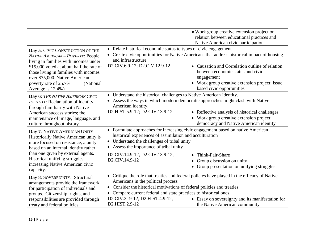|                                                                                                                                                                                                                           |                                                                                                                                                                                                                                                                           | • Work group creative extension project on<br>relation between educational practices and<br>Native American civic participation                                                 |
|---------------------------------------------------------------------------------------------------------------------------------------------------------------------------------------------------------------------------|---------------------------------------------------------------------------------------------------------------------------------------------------------------------------------------------------------------------------------------------------------------------------|---------------------------------------------------------------------------------------------------------------------------------------------------------------------------------|
| Day 5: CIVIC CONSTRUCTION OF THE<br>NATIVE AMERICAN - POVERTY: People<br>living in families with incomes under                                                                                                            | Relate historical economic status to types of civic engagement<br>Create civic opportunities for Native Americans that address historical impact of housing<br>and infrastructure                                                                                         |                                                                                                                                                                                 |
| \$15,000 voted at about half the rate of<br>those living in families with incomes<br>over \$75,000. Native American<br>poverty rate of 25.7%<br>(National)                                                                | D2.CIV.6.9-12; D2.CIV.12.9-12                                                                                                                                                                                                                                             | • Causation and Correlation outline of relation<br>between economic status and civic<br>engagement<br>• Work group creative extension project: issue                            |
| Average is 12.4%)<br>Day 6: THE NATIVE AMERICAN CIVIC<br><b>IDENTITY:</b> Reclamation of identity<br>through familiarity with Native                                                                                      | based civic opportunities<br>Understand the historical challenges to Native American Identity.<br>Assess the ways in which modern democratic approaches might clash with Native<br>American identity.                                                                     |                                                                                                                                                                                 |
| American success stories; the<br>maintenance of image, language, and<br>culture throughout history.                                                                                                                       | D2.HIST.5.9-12; D2.CIV.13.9-12                                                                                                                                                                                                                                            | • Reflective analysis of historical challenges<br>• Work group creative extension project:<br>democracy and Native American identity                                            |
| Day 7: NATIVE AMERICAN UNITY:<br>Historically Native American unity is<br>more focused on resistance; a unity<br>based on an internal identity rather                                                                     | • Formulate approaches for increasing civic engagement based on native American<br>historical experiences of assimilation and acculturation<br>Understand the challenges of tribal unity<br>$\bullet$<br>Assess the importance of tribal unity<br>$\bullet$               |                                                                                                                                                                                 |
| than one given by external agents.<br>Historical unifying struggles<br>increasing Native American civic<br>capacity.                                                                                                      | D2.CIV.14.9-12; D2.CIV.13.9-12;<br>D2.CIV.14.9-12                                                                                                                                                                                                                         | Think-Pair-Share<br>$\bullet$<br>Group discussion on unity<br>Group presentation on unifying struggles<br>$\bullet$                                                             |
| Day 8: SOVEREIGNTY: Structural<br>arrangements provide the framework<br>for participation of individuals and<br>groups. Citizenship, rights, and<br>responsibilities are provided through<br>treaty and federal policies. | $\bullet$<br>Americans in the political process<br>Consider the historical motivations of federal policies and treaties<br>$\bullet$<br>Compare current federal and state practices to historical ones.<br>$\bullet$<br>D2.CIV.3.-9-12; D2.HIST.4.9-12;<br>D2.HIST.2.9-12 | Critique the role that treaties and federal policies have played in the efficacy of Native<br>• Essay on sovereignty and its manifestation for<br>the Native American community |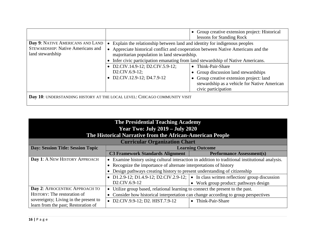|                                          |                                                                           | • Group creative extension project: Historical<br>lessons for Standing Rock                                     |  |  |
|------------------------------------------|---------------------------------------------------------------------------|-----------------------------------------------------------------------------------------------------------------|--|--|
| Day 9: NATIVE AMERICANS AND LAND         | Explain the relationship between land and identity for indigenous peoples |                                                                                                                 |  |  |
| <b>STEWARDSHIP: Native Americans and</b> |                                                                           | Appreciate historical conflict and cooperation between Native Americans and the                                 |  |  |
| land stewardship                         | majoritarian population in land stewardship.                              |                                                                                                                 |  |  |
|                                          |                                                                           | Infer civic participation emanating from land stewardship of Native Americans.                                  |  |  |
|                                          | D2.CIV.14.9-12; D2.CIV.5.9-12;                                            | • Think-Pair-Share                                                                                              |  |  |
|                                          | $D2.CIV.6.9-12;$                                                          | • Group discussion land stewardships                                                                            |  |  |
|                                          | • D2.CIV.12.9-12; D4.7.9-12                                               | • Group creative extension project: land<br>stewardship as a vehicle for Native American<br>civic participation |  |  |
|                                          | Day 10: UNDERSTANDING HISTORY AT THE LOCAL LEVEL: CHICAGO COMMUNITY VISIT |                                                                                                                 |  |  |

| <b>The Presidential Teaching Academy</b><br><b>Year Two: July 2019 – July 2020</b><br>The Historical Narrative from the African-American People |                                                                                   |                                                                                               |  |
|-------------------------------------------------------------------------------------------------------------------------------------------------|-----------------------------------------------------------------------------------|-----------------------------------------------------------------------------------------------|--|
| <b>Curricular Organization Chart</b>                                                                                                            |                                                                                   |                                                                                               |  |
| <b>Day: Session Title: Session Topic</b>                                                                                                        |                                                                                   | <b>Learning Outcome</b>                                                                       |  |
|                                                                                                                                                 | <b>C3 Framework Standards Alignment</b>                                           | <b>Performance Assessment(s)</b>                                                              |  |
| Day 1: A NEW HISTORY APPROACH                                                                                                                   |                                                                                   | Examine history using cultural interaction in addition to traditional institutional analysis. |  |
|                                                                                                                                                 | • Recognize the importance of alternate interpretations of history                |                                                                                               |  |
|                                                                                                                                                 | Design pathways creating history to present understanding of citizenship          |                                                                                               |  |
|                                                                                                                                                 |                                                                                   | • D1.2.9-12; D1.4.9-12; D2.CIV.2.9-12; $\bullet$ In class written reflection/group discussion |  |
|                                                                                                                                                 | D <sub>2</sub> .CIV.6.9-12                                                        | • Work group product: pathways design                                                         |  |
| Day 2: AFROCENTRIC APPROACH TO                                                                                                                  | Utilize group based, relational learning to connect the present to the past.      |                                                                                               |  |
| HISTORY: The restoration of                                                                                                                     | Consider how historical interpretation can change according to group perspectives |                                                                                               |  |
| sovereignty; Living in the present to                                                                                                           | • D2.CIV.9.9-12; D2. HIST.7.9-12<br>• Think-Pair-Share                            |                                                                                               |  |
| learn from the past; Restoration of                                                                                                             |                                                                                   |                                                                                               |  |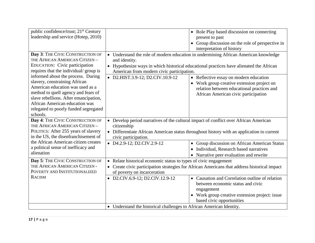| public confidence/trust; 21 <sup>st</sup> Century<br>leadership and service (Hotep, 2010)                                                                                                                                                                                                                                                                                                                                              | present to past                                                                                                                                                                                                                                                                                                                  | • Role Play based discussion on connecting<br>• Group discussion on the role of perspective in<br>interpretation of history                                                |
|----------------------------------------------------------------------------------------------------------------------------------------------------------------------------------------------------------------------------------------------------------------------------------------------------------------------------------------------------------------------------------------------------------------------------------------|----------------------------------------------------------------------------------------------------------------------------------------------------------------------------------------------------------------------------------------------------------------------------------------------------------------------------------|----------------------------------------------------------------------------------------------------------------------------------------------------------------------------|
| Day 3: THE CIVIC CONSTRUCTION OF<br>THE AFRICAN AMERICAN CITIZEN -<br>EDUCATION: Civic participation<br>requires that the individual/group is<br>informed about the process. During<br>slavery, constraining African<br>American education was used as a<br>method to quell agency and fears of<br>slave rebellions. After emancipation,<br><b>African American education was</b><br>relegated to poorly funded segregated<br>schools. | • Understand the role of modern education in undermining African American knowledge<br>and identity.<br>• Hypothesize ways in which historical educational practices have alienated the African<br>American from modern civic participation.<br>• D2.HIST.3.9-12; D2.CIV.10.9-12                                                 | • Reflective essay on modern education<br>• Work group creative extension project on<br>relation between educational practices and<br>African American civic participation |
| Day 4: THE CIVIC CONSTRUCTION OF<br>THE AFRICAN AMERICAN CITIZEN -<br>POLITICS: After 255 years of slavery<br>in the US, the disenfranchisement of<br>the African American citizen creates<br>a political sense of inefficacy and<br>alienation                                                                                                                                                                                        | • Develop period narratives of the cultural impact of conflict over African American<br>citizenship<br>• Differentiate African American status throughout history with an application to current<br>civic participation.<br>$\bullet$ D4.2.9-12; D2.CIV.2.9-12                                                                   | • Group discussion on African American Status<br>Individual, Research based narratives                                                                                     |
| Day 5: THE CIVIC CONSTRUCTION OF<br>THE AFRICAN AMERICAN CITIZEN -<br>POVERTY AND INSTITUTIONALIZED<br><b>RACISM</b>                                                                                                                                                                                                                                                                                                                   | • Narrative peer evaluation and rewrite<br>• Relate historical economic status to types of civic engagement<br>• Create civic participation strategies for African Americans that address historical impact<br>of poverty on incarceration<br>• Causation and Correlation outline of relation<br>• D2.CIV.6.9-12; D2.CIV.12.9-12 |                                                                                                                                                                            |
|                                                                                                                                                                                                                                                                                                                                                                                                                                        | engagement<br>• Understand the historical challenges to African American Identity.                                                                                                                                                                                                                                               | between economic status and civic<br>• Work group creative extension project: issue<br>based civic opportunities                                                           |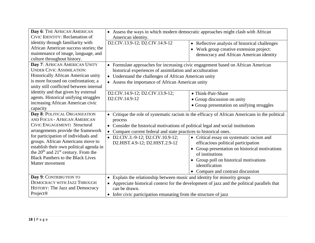| Day 6: THE AFRICAN AMERICAN<br><b>CIVIC IDENTITY: Reclamation of</b>                                                                                                                                                                                                                                                                                                         | • Assess the ways in which modern democratic approaches might clash with African<br>American identity.                                                                                                                                                         |                                                                                                                                                                                                                                                                                                                                                          |
|------------------------------------------------------------------------------------------------------------------------------------------------------------------------------------------------------------------------------------------------------------------------------------------------------------------------------------------------------------------------------|----------------------------------------------------------------------------------------------------------------------------------------------------------------------------------------------------------------------------------------------------------------|----------------------------------------------------------------------------------------------------------------------------------------------------------------------------------------------------------------------------------------------------------------------------------------------------------------------------------------------------------|
| identity through familiarity with<br>African American success stories; the<br>maintenance of image, language, and<br>culture throughout history.                                                                                                                                                                                                                             | D2.CIV.13.9-12; D2.CIV.14.9-12                                                                                                                                                                                                                                 | • Reflective analysis of historical challenges<br>• Work group creative extension project:<br>democracy and African American identity                                                                                                                                                                                                                    |
| Day 7: AFRICAN AMERICAN UNITY<br><b>UNDER CIVIC ASSIMILATION:</b><br>Historically African American unity<br>is more focused on confrontation; a<br>unity still conflicted between internal                                                                                                                                                                                   | historical experiences of assimilation and acculturation<br>• Understand the challenges of African American unity<br>• Assess the importance of African American unity                                                                                         | • Formulate approaches for increasing civic engagement based on African American                                                                                                                                                                                                                                                                         |
| identity and that given by external<br>agents. Historical unifying struggles<br>increasing African American civic<br>capacity                                                                                                                                                                                                                                                | D2.CIV.14.9-12; D2.CIV.13.9-12;<br>D2.CIV.14.9-12                                                                                                                                                                                                              | • Think-Pair-Share<br>• Group discussion on unity<br>• Group presentation on unifying struggles                                                                                                                                                                                                                                                          |
| Day 8: POLITICAL ORGANIZATION<br>AND FOCUS - AFRICAN AMERICAN<br><b>CIVIC ENGAGEMENT: Structural</b><br>arrangements provide the framework<br>for participation of individuals and<br>groups. African Americans move to<br>establish their own political agenda in<br>the $20th$ and $21st$ century. From the<br><b>Black Panthers to the Black Lives</b><br>Matter movement | process<br>Consider the historical motivations of political legal and social institutions<br>Compare current federal and state practices to historical ones.<br>• D2.CIV.3.-9-12; D2.CIV.10.9-12;<br>D2.HIST.4.9-12; D2.HIST.2.9-12                            | • Critique the role of systematic racism in the efficacy of African Americans in the political<br>• Critical essay on systematic racism and<br>efficacious political participation<br>• Group presentation on historical motivations<br>of institutions<br>• Group poll on historical motivations<br>identification<br>• Compare and contrast discussion |
| Day 9: CONTRIBUTION TO<br>DEMOCRACY WITH JAZZ THROUGH<br>HISTORY: The Jazz and Democracy<br>Project <sup>®</sup>                                                                                                                                                                                                                                                             | • Explain the relationship between music and identity for minority groups<br>• Appreciate historical context for the development of jazz and the political parallels that<br>can be drawn.<br>• Infer civic participation emanating from the structure of jazz |                                                                                                                                                                                                                                                                                                                                                          |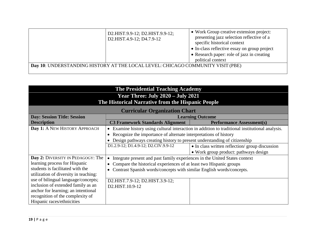|                                                                                 | D2.HIST.9.9-12; D2.HIST.9.9-12;<br>D2.HIST.4.9-12; D4.7.9-12 | • Work Group creative extension project:<br>presenting jazz selection reflective of a<br>specific historical context<br>• In-class reflective essay on group project<br>• Research paper: role of jazz in creating<br>political context |
|---------------------------------------------------------------------------------|--------------------------------------------------------------|-----------------------------------------------------------------------------------------------------------------------------------------------------------------------------------------------------------------------------------------|
| Day 10: UNDERSTANDING HISTORY AT THE LOCAL LEVEL: CHICAGO COMMUNITY VISIT (PBE) |                                                              |                                                                                                                                                                                                                                         |

| <b>The Presidential Teaching Academy</b>          |                                                                            |                                                                                               |
|---------------------------------------------------|----------------------------------------------------------------------------|-----------------------------------------------------------------------------------------------|
| <b>Year Three: July 2020 - July 2021</b>          |                                                                            |                                                                                               |
| The Historical Narrative from the Hispanic People |                                                                            |                                                                                               |
| <b>Curricular Organization Chart</b>              |                                                                            |                                                                                               |
| <b>Day: Session Title: Session</b>                | <b>Learning Outcome</b>                                                    |                                                                                               |
| <b>Description</b>                                | <b>C3 Framework Standards Alignment</b>                                    | <b>Performance Assessment(s)</b>                                                              |
| Day 1: A NEW HISTORY APPROACH                     |                                                                            | Examine history using cultural interaction in addition to traditional institutional analysis. |
|                                                   | Recognize the importance of alternate interpretations of history           |                                                                                               |
|                                                   | Design pathways creating history to present understanding of citizenship   |                                                                                               |
|                                                   | D1.2.9-12; D1.4.9-12; D2.CIV.9.9-12                                        | • In class written reflection/group discussion                                                |
|                                                   |                                                                            | • Work group product: pathways design                                                         |
| Day 2: DIVERSITY IN PEDAGOGY: The                 | Integrate present and past family experiences in the United States context |                                                                                               |
| learning process for Hispanic                     | Compare the historical experiences of at least two Hispanic groups         |                                                                                               |
| students is facilitated with the                  | Contrast Spanish words/concepts with similar English words/concepts.       |                                                                                               |
| utilization of diversity in teaching:             |                                                                            |                                                                                               |
| use of bilingual language/concepts;               | D2.HIST.7.9-12; D2.HIST.3.9-12;                                            |                                                                                               |
| inclusion of extended family as an                | D2.HIST.10.9-12                                                            |                                                                                               |
| anchor for learning; an intentional               |                                                                            |                                                                                               |
| recognition of the complexity of                  |                                                                            |                                                                                               |
| Hispanic races/ethnicities                        |                                                                            |                                                                                               |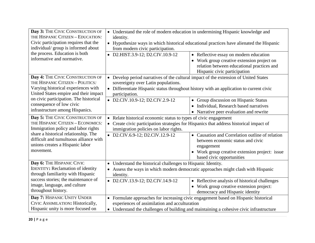| Day 3: THE CIVIC CONSTRUCTION OF<br>THE HISPANIC CITIZEN - EDUCATION:         | identity.                             | • Understand the role of modern education in undermining Hispanic knowledge and                                                |  |
|-------------------------------------------------------------------------------|---------------------------------------|--------------------------------------------------------------------------------------------------------------------------------|--|
| Civic participation requires that the<br>individual/ group is informed about  | from modern civic participation.      | • Hypothesize ways in which historical educational practices have alienated the Hispanic                                       |  |
| the process. Education is both<br>informative and normative.                  | • D2.HIST.3.9-12; D2.CIV.10.9-12      | • Reflective essay on modern education                                                                                         |  |
|                                                                               |                                       | • Work group creative extension project on<br>relation between educational practices and<br>Hispanic civic participation       |  |
| Day 4: THE CIVIC CONSTRUCTION OF<br>THE HISPANIC CITIZEN - POLITICS:          |                                       | • Develop period narratives of the cultural impact of the extension of United States                                           |  |
| Varying historical experiences with<br>United States empire and their impact  | participation.                        | sovereignty over Latin populations.<br>• Differentiate Hispanic status throughout history with an application to current civic |  |
| on civic participation. The historical<br>consequence of low civic            | • D2.CIV.10.9-12; D2.CIV.2.9-12       | • Group discussion on Hispanic Status                                                                                          |  |
| infrastructure among Hispanics.                                               |                                       | • Individual, Research based narratives<br>• Narrative peer evaluation and rewrite                                             |  |
| Day 5: THE CIVIC CONSTRUCTION OF                                              |                                       | • Relate historical economic status to types of civic engagement                                                               |  |
| THE HISPANIC CITIZEN - ECONOMICS.<br>Immigration policy and labor rights      | immigration policies on labor rights. | • Create civic participation strategies for Hispanics that address historical impact of                                        |  |
| share a historical relationship. The                                          | • D2.CIV.6.9-12; D2.CIV.12.9-12       | • Causation and Correlation outline of relation                                                                                |  |
| difficult and tumultuous alliance with<br>unions creates a Hispanic labor     |                                       | between economic status and civic<br>engagement                                                                                |  |
| movement.                                                                     |                                       | • Work group creative extension project: issue<br>based civic opportunities                                                    |  |
| Day 6: THE HISPANIC CIVIC                                                     |                                       | • Understand the historical challenges to Hispanic Identity.                                                                   |  |
| <b>IDENTITY: Reclamation of identity</b><br>through familiarity with Hispanic | identity.                             | • Assess the ways in which modern democratic approaches might clash with Hispanic                                              |  |
| success stories; the maintenance of                                           | • D2.CIV.13.9-12; D2.CIV.14.9-12      | • Reflective analysis of historical challenges                                                                                 |  |
| image, language, and culture<br>throughout history.                           |                                       | • Work group creative extension project:<br>democracy and Hispanic identity                                                    |  |
| Day 7: HISPANIC UNITY UNDER                                                   |                                       | • Formulate approaches for increasing civic engagement based on Hispanic historical                                            |  |
| CIVIC ASSIMILATION: Historically,<br>Hispanic unity is more focused on        |                                       | experiences of assimilation and acculturation                                                                                  |  |
|                                                                               |                                       | • Understand the challenges of building and maintaining a cohesive civic infrastructure                                        |  |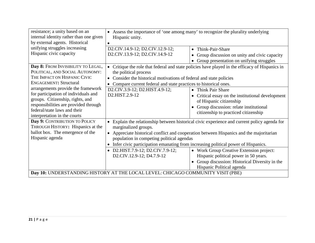| resistance; a unity based on an                                                 | • Assess the importance of 'one among many' to recognize the plurality underlying            |                                                                                               |
|---------------------------------------------------------------------------------|----------------------------------------------------------------------------------------------|-----------------------------------------------------------------------------------------------|
| internal identity rather than one given                                         | Hispanic unity.                                                                              |                                                                                               |
| by external agents. Historical                                                  |                                                                                              |                                                                                               |
| unifying struggles increasing                                                   | D2.CIV.14.9-12; D2.CIV.12.9-12;                                                              | Think-Pair-Share<br>$\bullet$                                                                 |
| Hispanic civic capacity                                                         | D2.CIV.13.9-12; D2.CIV.14.9-12                                                               | Group discussion on unity and civic capacity                                                  |
|                                                                                 |                                                                                              | Group presentation on unifying struggles                                                      |
| Day 8: FROM INVISIBILITY TO LEGAL,                                              | $\bullet$                                                                                    | Critique the role that federal and state policies have played in the efficacy of Hispanics in |
| POLITICAL, AND SOCIAL AUTONOMY:                                                 | the political process                                                                        |                                                                                               |
| THE IMPACT ON HISPANIC CIVIC                                                    | • Consider the historical motivations of federal and state policies                          |                                                                                               |
| <b>ENGAGEMENT: Structural</b>                                                   | Compare current federal and state practices to historical ones.                              |                                                                                               |
| arrangements provide the framework                                              | D2.CIV.3.9-12; D2.HIST.4.9-12;                                                               | • Think Pair Share                                                                            |
| for participation of individuals and                                            | D2.HIST.2.9-12<br>Critical essay on the institutional development                            |                                                                                               |
| groups. Citizenship, rights, and                                                |                                                                                              | of Hispanic citizenship                                                                       |
| responsibilities are provided through                                           |                                                                                              | Group discussion: relate institutional                                                        |
| federal/state laws and their                                                    |                                                                                              | citizenship to practiced citizenship                                                          |
| interpretation in the courts                                                    |                                                                                              |                                                                                               |
| Day 9: CONTRIBUTION TO POLICY                                                   | • Explain the relationship between historical civic experience and current policy agenda for |                                                                                               |
| THROUGH HISTORY: Hispanics at the                                               | marginalized groups.                                                                         |                                                                                               |
| ballot box. The emergence of the                                                |                                                                                              | • Appreciate historical conflict and cooperation between Hispanics and the majoritarian       |
| Hispanic agenda                                                                 | population in competing political agendas                                                    |                                                                                               |
|                                                                                 | • Infer civic participation emanating from increasing political power of Hispanics.          |                                                                                               |
|                                                                                 | • D2.HIST.7.9-12; D2.CIV.7.9-12;                                                             | • Work Group Creative Extension project:                                                      |
|                                                                                 | D2.CIV.12.9-12; D4.7.9-12                                                                    | Hispanic political power in 50 years.                                                         |
|                                                                                 |                                                                                              | • Group discussion: Historical Diversity in the                                               |
|                                                                                 |                                                                                              | Hispanic Political agenda                                                                     |
| Day 10: UNDERSTANDING HISTORY AT THE LOCAL LEVEL: CHICAGO COMMUNITY VISIT (PBE) |                                                                                              |                                                                                               |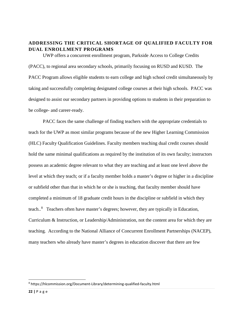# **ADDRESSING THE CRITICAL SHORTAGE OF QUALIFIED FACULTY FOR DUAL ENROLLMENT PROGRAMS**

UWP offers a concurrent enrollment program, Parkside Access to College Credits (PACC), to regional area secondary schools, primarily focusing on RUSD and KUSD. The PACC Program allows eligible students to earn college and high school credit simultaneously by taking and successfully completing designated college courses at their high schools. PACC was designed to assist our secondary partners in providing options to students in their preparation to be college- and career-ready.

PACC faces the same challenge of finding teachers with the appropriate credentials to teach for the UWP as most similar programs because of the new Higher Learning Commission (HLC) Faculty Qualification Guidelines. Faculty members teaching dual credit courses should hold the same minimal qualifications as required by the institution of its own faculty; instructors possess an academic degree relevant to what they are teaching and at least one level above the level at which they teach; or if a faculty member holds a master's degree or higher in a discipline or subfield other than that in which he or she is teaching, that faculty member should have completed a minimum of 18 graduate credit hours in the discipline or subfield in which they teach..<sup>[8](#page-22-0)</sup> Teachers often have master's degrees; however, they are typically in Education, Curriculum & Instruction, or Leadership/Administration, not the content area for which they are teaching. According to the National Alliance of Concurrent Enrollment Partnerships (NACEP), many teachers who already have master's degrees in education discover that there are few

<span id="page-22-0"></span> <sup>8</sup> https://hlcommission.org/Document-Library/determining-qualified-faculty.html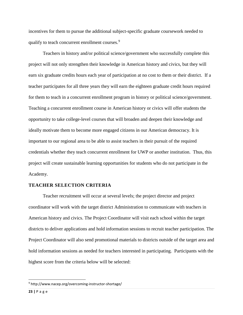incentives for them to pursue the additional subject-specific graduate coursework needed to qualify to teach concurrent enrollment courses.<sup>[9](#page-23-0)</sup>

Teachers in history and/or political science/government who successfully complete this project will not only strengthen their knowledge in American history and civics, but they will earn six graduate credits hours each year of participation at no cost to them or their district. If a teacher participates for all three years they will earn the eighteen graduate credit hours required for them to teach in a concurrent enrollment program in history or political science/government. Teaching a concurrent enrollment course in American history or civics will offer students the opportunity to take college-level courses that will broaden and deepen their knowledge and ideally motivate them to become more engaged citizens in our American democracy. It is important to our regional area to be able to assist teachers in their pursuit of the required credentials whether they teach concurrent enrollment for UWP or another institution. Thus, this project will create sustainable learning opportunities for students who do not participate in the Academy.

#### **TEACHER SELECTION CRITERIA**

Teacher recruitment will occur at several levels; the project director and project coordinator will work with the target district Administration to communicate with teachers in American history and civics. The Project Coordinator will visit each school within the target districts to deliver applications and hold information sessions to recruit teacher participation. The Project Coordinator will also send promotional materials to districts outside of the target area and hold information sessions as needed for teachers interested in participating. Participants with the highest score from the criteria below will be selected:

<span id="page-23-0"></span> <sup>9</sup> http://www.nacep.org/overcoming-instructor-shortage/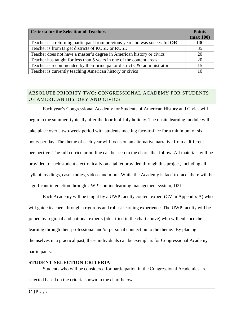| <b>Criteria for the Selection of Teachers</b>                                 | <b>Points</b> |
|-------------------------------------------------------------------------------|---------------|
|                                                                               | (max 100)     |
| Teacher is a returning participant from previous year and was successful $OR$ | 100           |
| Teacher is from target districts of KUSD or RUSD                              | 35            |
| Teacher does not have a master's degree in American history or civics         | 20            |
| Teacher has taught for less than 5 years in one of the content areas          | 20            |
| Teacher is recommended by their principal or district C&I administrator       | 15            |
| Teacher is currently teaching American history or civics                      |               |

# <span id="page-24-0"></span>ABSOLUTE PRIORITY TWO: CONGRESSIONAL ACADEMY FOR STUDENTS OF AMERICAN HISTORY AND CIVICS

Each year's Congressional Academy for Students of American History and Civics will begin in the summer, typically after the fourth of July holiday. The onsite learning module will take place over a two-week period with students meeting face-to-face for a minimum of six hours per day. The theme of each year will focus on an alternative narrative from a different perspective. The full curricular outline can be seen in the charts that follow. All materials will be provided to each student electronically on a tablet provided through this project, including all syllabi, readings, case studies, videos and more. While the Academy is face-to-face, there will be significant interaction through UWP's online learning management system, D2L.

Each Academy will be taught by a UWP faculty content expert (CV in Appendix A) who will guide teachers through a rigorous and robust learning experience. The UWP faculty will be joined by regional and national experts (identified in the chart above) who will enhance the learning through their professional and/or personal connection to the theme. By placing themselves in a practical past, these individuals can be exemplars for Congressional Academy participants.

#### **STUDENT SELECTION CRITERIA**

Students who will be considered for participation in the Congressional Academies are selected based on the criteria shown in the chart below.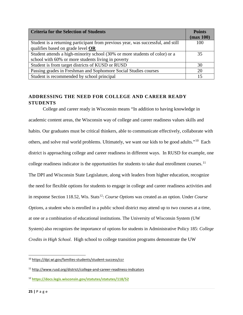| <b>Criteria for the Selection of Students</b>                                    | <b>Points</b> |
|----------------------------------------------------------------------------------|---------------|
|                                                                                  | (max 100)     |
| Student is a returning participant from previous year, was successful, and still | 100           |
| qualifies based on grade level OR                                                |               |
| Student attends a high-minority school (30% or more students of color) or a      | 35            |
| school with 60% or more students living in poverty                               |               |
| Student is from target districts of KUSD or RUSD                                 | 30            |
| Passing grades in Freshman and Sophomore Social Studies courses                  | 20            |
| Student is recommended by school principal                                       |               |

# <span id="page-25-0"></span>**ADDRESSING THE NEED FOR COLLEGE AND CAREER READY STUDENTS**

College and career ready in Wisconsin means "In addition to having knowledge in academic content areas, the Wisconsin way of college and career readiness values skills and habits. Our graduates must be critical thinkers, able to communicate effectively, collaborate with others, and solve real world problems. Ultimately, we want our kids to be good adults."[10](#page-25-1) Each district is approaching college and career readiness in different ways. In RUSD for example, one college readiness indicator is the opportunities for students to take dual enrollment courses.<sup>[11](#page-25-2)</sup> The DPI and Wisconsin State Legislature, along with leaders from higher education, recognize the need for flexible options for students to engage in college and career readiness activities and in response Section 118.52, Wis. Stats<sup>12</sup>: *Course Options* was created as an option. Under *Course Options*, a student who is enrolled in a public school district may attend up to two courses at a time, at one or a combination of educational institutions. The University of Wisconsin System (UW System) also recognizes the importance of options for students in Administrative Policy 185: *College Credits in High School*. High school to college transition programs demonstrate the UW

<span id="page-25-1"></span> <sup>10</sup> <https://dpi.wi.gov/families-students/student-success/ccr>

<span id="page-25-2"></span><sup>11</sup> <http://www.rusd.org/district/college-and-career-readiness-indicators>

<span id="page-25-3"></span><sup>12</sup> **<https://docs.legis.wisconsin.gov/statutes/statutes/118/52>**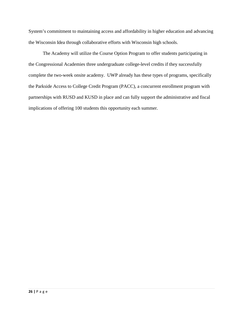System's commitment to maintaining access and affordability in higher education and advancing the Wisconsin Idea through collaborative efforts with Wisconsin high schools.

The Academy will utilize the Course Option Program to offer students participating in the Congressional Academies three undergraduate college-level credits if they successfully complete the two-week onsite academy. UWP already has these types of programs, specifically the Parkside Access to College Credit Program (PACC), a concurrent enrollment program with partnerships with RUSD and KUSD in place and can fully support the administrative and fiscal implications of offering 100 students this opportunity each summer.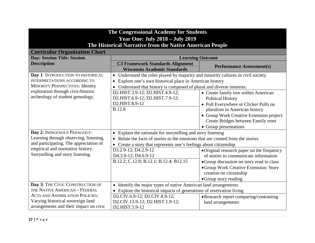| The Congressional Academy for Students<br><b>Year One: July 2018 - July 2019</b><br>The Historical Narrative from the Native American People |                                                                                                                                                 |                                                                                     |
|----------------------------------------------------------------------------------------------------------------------------------------------|-------------------------------------------------------------------------------------------------------------------------------------------------|-------------------------------------------------------------------------------------|
| <b>Curricular Organization Chart</b>                                                                                                         |                                                                                                                                                 |                                                                                     |
| <b>Day: Session Title: Session</b>                                                                                                           | <b>Learning Outcome</b>                                                                                                                         |                                                                                     |
| <b>Description</b>                                                                                                                           | <b>C3 Framework Standards Alignment</b><br><b>Wisconsin Academic Standards</b>                                                                  | <b>Performance Assessment(s)</b>                                                    |
| Day 1: INTRODUCTION TO HISTORICAL                                                                                                            | • Understand the roles played by majority and minority cultures in civil society                                                                |                                                                                     |
| INTERPRETATIONS ACCORDING TO                                                                                                                 | Explore one's own historical place in American history                                                                                          |                                                                                     |
| <b>MINORITY PERSPECTIVES: Identity</b>                                                                                                       | Understand that history is composed of plural and diverse interests.                                                                            |                                                                                     |
| exploration through civic/historic                                                                                                           | D2.HIST.3.9-12; D2.HIST.4.9-12;                                                                                                                 | • Create family tree within American                                                |
| archeology of student genealogy.                                                                                                             | D2.HIST.6.9-12; D2.HIST.7.9-12;                                                                                                                 | <b>Political History</b>                                                            |
|                                                                                                                                              | D2.HIST.8.9-12                                                                                                                                  | • Poll Everywhere or Clicker Polls on                                               |
|                                                                                                                                              | <b>B.12.8</b>                                                                                                                                   | pluralism in American history                                                       |
|                                                                                                                                              |                                                                                                                                                 | • Group Work Creative Extension project:                                            |
|                                                                                                                                              |                                                                                                                                                 | Create Bridges between Family trees                                                 |
|                                                                                                                                              |                                                                                                                                                 | • Group presentations                                                               |
| Day 2: INDIGENOUS PEDAGOGY:<br>Learning through observing, listening,                                                                        | • Explain the rationale for storytelling and story listening<br>• Relate the facts of stories to the emotions that are created from the stories |                                                                                     |
| and participating. The appreciation of                                                                                                       |                                                                                                                                                 |                                                                                     |
| empirical and normative history.                                                                                                             | Create a story that represents one's feelings about citizenship.<br>D3.2.9-12; D4.2.9-12                                                        |                                                                                     |
| Storytelling and story listening.                                                                                                            | D4.3.9-12; D4.6.9-12                                                                                                                            | • Original research paper on the frequency<br>of stories to communicate information |
|                                                                                                                                              | B.12.2; C.12.8; B.12.1; B.12.4; B12.15                                                                                                          |                                                                                     |
|                                                                                                                                              |                                                                                                                                                 | • Group discussion on story read in class<br>• Group Work Creative Extension: Story |
|                                                                                                                                              |                                                                                                                                                 | creation on citizenship                                                             |
|                                                                                                                                              |                                                                                                                                                 | • Group story reading                                                               |
| Day 3: THE CIVIC CONSTRUCTION OF                                                                                                             | • Identify the major types of native American land arrangements                                                                                 |                                                                                     |
| THE NATIVE AMERICAN - FEDERAL                                                                                                                | • Explore the historical impacts of generations of reservation living                                                                           |                                                                                     |
| <b>ACTS AND ASSIMILATION POLICIES:</b>                                                                                                       | D2.CIV.6.9-12; D2.CIV.8.9-12;<br>• Research report comparing/contrasting                                                                        |                                                                                     |
| Varying historical sovereign land                                                                                                            | D2.CIV.13.9-12; D2.HIST.1.9-12;                                                                                                                 | land arrangements                                                                   |
| arrangements and their impact on civic                                                                                                       | D2.HIST.5.9-12                                                                                                                                  |                                                                                     |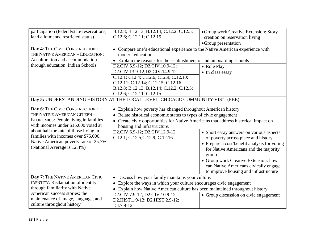| participation (federal/state reservations,<br>land allotments, restricted status)                                                                                                                                                                                                                                  | B.12.8; B.12.13; B.12.14; C.12.2; C.12.5;<br>C.12.6; C.12.11; C.12.15                                                                                                                                                                                                                                                       | • Group work Creative Extension: Story<br>creation on reservation living<br>• Group presentation                                                                                                                                                                                                            |
|--------------------------------------------------------------------------------------------------------------------------------------------------------------------------------------------------------------------------------------------------------------------------------------------------------------------|-----------------------------------------------------------------------------------------------------------------------------------------------------------------------------------------------------------------------------------------------------------------------------------------------------------------------------|-------------------------------------------------------------------------------------------------------------------------------------------------------------------------------------------------------------------------------------------------------------------------------------------------------------|
| Day 4: THE CIVIC CONSTRUCTION OF<br>THE NATIVE AMERICAN - EDUCATION:<br>Acculturation and accommodation                                                                                                                                                                                                            | • Compare one's educational experience to the Native American experience with<br>modern education.<br>• Explain the reasons for the establishment of Indian boarding schools                                                                                                                                                |                                                                                                                                                                                                                                                                                                             |
| through education. Indian Schools                                                                                                                                                                                                                                                                                  | D2.CIV.5.9-12; D2.CIV.10.9-12;<br>D2.CIV.13.9-12;D2.CIV.14.9-12<br>C.12.1; C12.4; C.12.6; C12.9; C.12.10;<br>C.12.11; C.12.14; C.12.15; C.12.16<br>B.12.8; B.12.13; B.12.14; C.12.2; C.12.5;<br>C.12.6; C.12.11; C.12.15                                                                                                    | • Role Play<br>• In class essay                                                                                                                                                                                                                                                                             |
|                                                                                                                                                                                                                                                                                                                    | Day 5: UNDERSTANDING HISTORY AT THE LOCAL LEVEL: CHICAGO COMMUNITY VISIT (PBE)                                                                                                                                                                                                                                              |                                                                                                                                                                                                                                                                                                             |
| Day 6: THE CIVIC CONSTRUCTION OF<br>THE NATIVE AMERICAN CITIZEN -<br><b>ECONOMICS:</b> People living in families<br>with incomes under \$15,000 voted at<br>about half the rate of those living in<br>families with incomes over \$75,000.<br>Native American poverty rate of 25.7%<br>(National Average is 12.4%) | • Explain how poverty has changed throughout American history<br>• Relate historical economic status to types of civic engagement<br>• Create civic opportunities for Native Americans that address historical impact on<br>housing and infrastructure.<br>D2.CIV.6.9-12; D2.CIV.12.9-12<br>C.12.1; C.12.5; C.12.9; C.12.16 | • Short essay answers on various aspects<br>of poverty across place and history<br>• Prepare a cost/benefit analysis for voting<br>for Native Americans and the majority<br>group<br>• Group work Creative Extension: how<br>can Native Americans civically engage<br>to improve housing and infrastructure |
| Day 7: THE NATIVE AMERICAN CIVIC<br><b>IDENTITY: Reclamation of identity</b><br>through familiarity with Native                                                                                                                                                                                                    | • Discuss how your family maintains your culture.<br>Explore the ways in which your culture encourages civic engagement<br>• Explain how Native American culture has been maintained throughout history.                                                                                                                    |                                                                                                                                                                                                                                                                                                             |
| American success stories; the<br>maintenance of image, language, and<br>culture throughout history                                                                                                                                                                                                                 | D2.CIV.7.9-12; D2.CIV.10.9-12;<br>D2.HIST.1.9-12; D2.HIST.2.9-12;<br>D <sub>4.7.9</sub> -12                                                                                                                                                                                                                                 | • Group discussion on civic engagement                                                                                                                                                                                                                                                                      |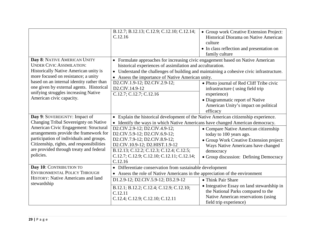|                                                                                                                               | B.12.7; B.12.13; C.12.9; C.12.10; C.12.14;<br>C.12.16                                                                                        | • Group work Creative Extension Project:<br>Historical Diorama on Native American<br>culture<br>• In class reflection and presentation on<br>family culture |
|-------------------------------------------------------------------------------------------------------------------------------|----------------------------------------------------------------------------------------------------------------------------------------------|-------------------------------------------------------------------------------------------------------------------------------------------------------------|
| Day 8: NATIVE AMERICAN UNITY<br><b>UNDER CIVIC ASSIMILATION:</b>                                                              | • Formulate approaches for increasing civic engagement based on Native American<br>historical experiences of assimilation and acculturation. |                                                                                                                                                             |
| Historically Native American unity is                                                                                         | • Understand the challenges of building and maintaining a cohesive civic infrastructure.                                                     |                                                                                                                                                             |
| more focused on resistance; a unity                                                                                           | • Assess the importance of Native American unity.                                                                                            |                                                                                                                                                             |
| based on an internal identity rather than<br>one given by external agents. Historical<br>unifying struggles increasing Native | D2.CIV.1.9-12; D2.CIV.2.9-12;<br>D2.CIV.14.9-12<br>C.12.7; C.12.7; C.12.16                                                                   | • Photo journal of Red Cliff Tribe civic<br>infrastructure (using field trip<br>experience)                                                                 |
| American civic capacity.                                                                                                      |                                                                                                                                              | • Diagrammatic report of Native<br>American Unity's impact on political<br>efficacy                                                                         |
| Day 9: SOVEREIGNTY: Impact of                                                                                                 | • Explain the historical development of the Native American citizenship experience.                                                          |                                                                                                                                                             |
| Changing Tribal Sovereignty on Native                                                                                         | • Identify the ways in which Native Americans have changed American democracy.                                                               |                                                                                                                                                             |
| American Civic Engagement: Structural                                                                                         | D2.CIV.2.9-12; D2.CIV.4.9-12;                                                                                                                | • Compare Native American citizenship                                                                                                                       |
| arrangements provide the framework for<br>participation of individuals and groups.                                            | D2.CIV.5.9-12; D2.CIV.6.9-12;                                                                                                                | today to 100 years ago.                                                                                                                                     |
| Citizenship, rights, and responsibilities                                                                                     | D2.CIV.7.9-12; D2.CIV.8.9-12;<br>D2.CIV.10.9-12; D2.HIST.1.9-12                                                                              | • Group Work Creative Extension project:                                                                                                                    |
| are provided through treaty and federal                                                                                       | B.12.13; C.12.2; C.12.3; C.12.4; C.12.5;                                                                                                     | Ways Native Americans have changed<br>democracy                                                                                                             |
| policies.                                                                                                                     | C.12.7; C.12.9; C.12.10; C.12.11; C.12.14;                                                                                                   | • Group discussion: Defining Democracy                                                                                                                      |
|                                                                                                                               | C.12.16                                                                                                                                      |                                                                                                                                                             |
| Day 10: CONTRIBUTION TO                                                                                                       | • Differentiate conservation from sustainable development                                                                                    |                                                                                                                                                             |
| <b>ENVIRONMENTAL POLICY THROUGH</b>                                                                                           | • Assess the role of Native Americans in the appreciation of the environment                                                                 |                                                                                                                                                             |
| HISTORY: Native Americans and land                                                                                            | D1.2.9-12; D2.CIV.5.9-12; D3.2.9-12                                                                                                          | • Think Pair Share                                                                                                                                          |
| stewardship                                                                                                                   | B.12.1; B.12.2; C.12.4; C.12.9; C.12.10;<br>C.12.11<br>C.12.4; C.12.9; C.12.10; C.12.11                                                      | • Integrative Essay on land stewardship in<br>the National Parks compared to the<br>Native American reservations (using<br>field trip experience)           |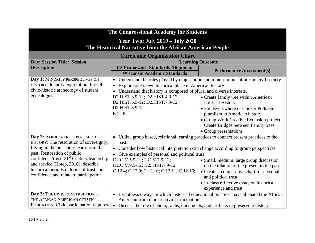| The Congressional Academy for Students                                                                                                                                                                                                                                                                                                     |                                                                                                                                                                                                                                                                                                                                                            |                                                                                                                                                                                                                                                        |
|--------------------------------------------------------------------------------------------------------------------------------------------------------------------------------------------------------------------------------------------------------------------------------------------------------------------------------------------|------------------------------------------------------------------------------------------------------------------------------------------------------------------------------------------------------------------------------------------------------------------------------------------------------------------------------------------------------------|--------------------------------------------------------------------------------------------------------------------------------------------------------------------------------------------------------------------------------------------------------|
| <b>Year Two: July 2019 - July 2020</b><br>The Historical Narrative from the African American People                                                                                                                                                                                                                                        |                                                                                                                                                                                                                                                                                                                                                            |                                                                                                                                                                                                                                                        |
|                                                                                                                                                                                                                                                                                                                                            | <b>Curricular Organization Chart</b>                                                                                                                                                                                                                                                                                                                       |                                                                                                                                                                                                                                                        |
| <b>Day: Session Title: Session</b>                                                                                                                                                                                                                                                                                                         | <b>Learning Outcome</b>                                                                                                                                                                                                                                                                                                                                    |                                                                                                                                                                                                                                                        |
| <b>Description</b>                                                                                                                                                                                                                                                                                                                         | <b>C3 Framework Standards Alignment</b><br><b>Wisconsin Academic Standards</b>                                                                                                                                                                                                                                                                             | <b>Performance Assessment(s)</b>                                                                                                                                                                                                                       |
| Day 1: MINORITY PERSPECTIVES ON<br>HISTORY: Identity exploration through<br>civic/historic archeology of student                                                                                                                                                                                                                           | • Understand the roles played by majoritarian and minoritarian cultures in civil society<br>Explore one's own historical place in American history<br>$\bullet$<br>• Understand that history is composed of plural and diverse interests.                                                                                                                  |                                                                                                                                                                                                                                                        |
| genealogies.                                                                                                                                                                                                                                                                                                                               | D2.HIST.3.9-12; D2.HIST.4.9-12;<br>D2.HIST.6.9-12; D2.HIST.7.9-12;<br>D2.HIST.8.9-12<br><b>B.12.8</b>                                                                                                                                                                                                                                                      | • Create family tree within American<br><b>Political History</b><br>• Poll Everywhere or Clicker Polls on<br>pluralism in American history<br>• Group Work Creative Extension project:<br>Create Bridges between Family trees<br>• Group presentations |
| Day 2: AFROCENTRIC APPROACH TO<br>HISTORY: The restoration of sovereignty;<br>Living in the present to learn from the<br>past; Restoration of public<br>confidence/trust; 21 <sup>st</sup> Century leadership<br>and service (Hotep, 2010); describe<br>historical periods in terms of trust and<br>confidence and relate to participation | • Utilize group based, relational learning practices to connect present practices to the<br>past.<br>• Consider how historical interpretation can change according to group perspectives<br>• Give examples of personal and political trust<br>D2.CIV.5.9-12; 2.CIV.7.9-12;<br>D2.CIV.9.9-12; D2.HIST.7.9-12<br>C.12.4; C.12.9; C.12.10; C.12.11; C.12.16; | · Small, medium, large group discussion<br>on the relation of the present to the past<br>• Create a comparative chart for personal<br>and political trust<br>• In-class reflective essay on historical<br>experience and trust                         |
| Day 3: THE CIVIC CONSTRUCTION OF<br>THE AFRICAN AMERICAN CITIZEN -<br><b>EDUCATION:</b> Civic participation requires                                                                                                                                                                                                                       | • Hypothesize ways in which historical educational practices have alienated the African<br>American from modern civic participation<br>• Discuss the role of photographs, documents, and artifacts in preserving history                                                                                                                                   |                                                                                                                                                                                                                                                        |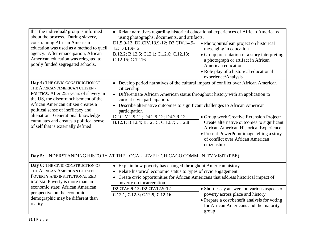| that the individual/group is informed<br>about the process. During slavery,                                                                                                                                                                                                                                                                              | • Relate narratives regarding historical educational experiences of African Americans<br>using photographs, documents, and artifacts.                                                                                                                                                                                                                                                                      |                                                                                                                                                                                                                                                  |  |  |
|----------------------------------------------------------------------------------------------------------------------------------------------------------------------------------------------------------------------------------------------------------------------------------------------------------------------------------------------------------|------------------------------------------------------------------------------------------------------------------------------------------------------------------------------------------------------------------------------------------------------------------------------------------------------------------------------------------------------------------------------------------------------------|--------------------------------------------------------------------------------------------------------------------------------------------------------------------------------------------------------------------------------------------------|--|--|
| constraining African American<br>education was used as a method to quell<br>agency. After emancipation, African<br>American education was relegated to<br>poorly funded segregated schools.                                                                                                                                                              | D1.5.9-12; D2.CIV.13.9-12; D2.CIV.14.9-<br>12; D3.1.9-12<br>B.12.2; B.12.5; C12.1; C.12.6; C.12.13;<br>C.12.15; C.12.16                                                                                                                                                                                                                                                                                    | • Photojournalism project on historical<br>messaging in education<br>• Group presentation of a story interpreting<br>a photograph or artifact in African<br>American education<br>• Role play of a historical educational<br>experience/Analysis |  |  |
| Day 4: THE CIVIC CONSTRUCTION OF<br>THE AFRICAN AMERICAN CITIZEN -<br>POLITICS: After 255 years of slavery in<br>the US, the disenfranchisement of the<br>African American citizen creates a<br>political sense of inefficacy and<br>alienation. Generational knowledge<br>cumulates and creates a political sense<br>of self that is externally defined | • Develop period narratives of the cultural impact of conflict over African American<br>citizenship<br>• Differentiate African American status throughout history with an application to<br>current civic participation.<br>Describe alternative outcomes to significant challenges to African American<br>participation<br>D2.CIV.2.9-12; D4.2.9-12; D4.7.9-12<br>B.12.1; B.12.4; B.12.15; C.12.7; C.12.8 | • Group work Creative Extension Project:<br>Create alternative outcomes to significant<br>African American Historical Experience<br>• Present PowerPoint image telling a story<br>of conflict over African American<br>citizenship               |  |  |
|                                                                                                                                                                                                                                                                                                                                                          | Day 5: UNDERSTANDING HISTORY AT THE LOCAL LEVEL: CHICAGO COMMUNITY VISIT (PBE)                                                                                                                                                                                                                                                                                                                             |                                                                                                                                                                                                                                                  |  |  |
| Day 6: THE CIVIC CONSTRUCTION OF<br>THE AFRICAN AMERICAN CITIZEN -<br>POVERTY AND INSTITUTIONALIZED<br>RACISM: Poverty is more than an<br>economic state; African American<br>perspective on the economic<br>demographic may be different than<br>reality                                                                                                | • Explain how poverty has changed throughout American history<br>Relate historical economic status to types of civic engagement<br>$\bullet$<br>Create civic opportunities for African Americans that address historical impact of<br>poverty on incarceration<br>D2.CIV.6.9-12; D2.CIV.12.9-12<br>C.12.1; C.12.5; C.12.9; C.12.16                                                                         | • Short essay answers on various aspects of<br>poverty across place and history<br>• Prepare a cost/benefit analysis for voting<br>for African Americans and the majority<br>group                                                               |  |  |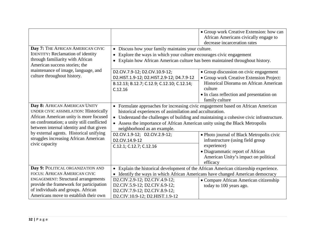|                                                                   |                                                                                          | • Group work Creative Extension: how can  |  |  |  |
|-------------------------------------------------------------------|------------------------------------------------------------------------------------------|-------------------------------------------|--|--|--|
|                                                                   |                                                                                          | African Americans civically engage to     |  |  |  |
|                                                                   |                                                                                          | decrease incarceration rates              |  |  |  |
| Day 7: THE AFRICAN AMERICAN CIVIC                                 | • Discuss how your family maintains your culture.                                        |                                           |  |  |  |
| <b>IDENTITY: Reclamation of identity</b>                          | Explore the ways in which your culture encourages civic engagement                       |                                           |  |  |  |
| through familiarity with African<br>American success stories; the | Explain how African American culture has been maintained throughout history.             |                                           |  |  |  |
| maintenance of image, language, and                               | D2.CIV.7.9-12; D2.CIV.10.9-12;                                                           | • Group discussion on civic engagement    |  |  |  |
| culture throughout history.                                       | D2.HIST.1.9-12; D2.HIST.2.9-12; D4.7.9-12                                                | · Group work Creative Extension Project:  |  |  |  |
|                                                                   | B.12.13; B.12.7; C.12.9; C.12.10; C.12.14;                                               | Historical Diorama on African American    |  |  |  |
|                                                                   | C.12.16                                                                                  | culture                                   |  |  |  |
|                                                                   |                                                                                          | • In class reflection and presentation on |  |  |  |
|                                                                   |                                                                                          | family culture                            |  |  |  |
| Day 8: AFRICAN AMERICAN UNITY                                     | • Formulate approaches for increasing civic engagement based on African American         |                                           |  |  |  |
| UNDER CIVIC ASSIMILATION: Historically                            | historical experiences of assimilation and acculturation.                                |                                           |  |  |  |
| African American unity is more focused                            | • Understand the challenges of building and maintaining a cohesive civic infrastructure. |                                           |  |  |  |
| on confrontation; a unity still conflicted                        | • Assess the importance of African American unity using the Black Metropolis             |                                           |  |  |  |
| between internal identity and that given                          | neighborhood as an example.                                                              |                                           |  |  |  |
| by external agents. Historical unifying                           | D2.CIV.1.9-12; D2.CIV.2.9-12;                                                            | • Photo journal of Black Metropolis civic |  |  |  |
| struggles increasing African American                             | D2.CIV.14.9-12                                                                           | infrastructure (using field group         |  |  |  |
| civic capacity                                                    | C.12.1; C.12.7; C.12.16                                                                  | experience)                               |  |  |  |
|                                                                   |                                                                                          | • Diagrammatic report of African          |  |  |  |
|                                                                   |                                                                                          | American Unity's impact on political      |  |  |  |
|                                                                   |                                                                                          | efficacy                                  |  |  |  |
| Day 9: POLITICAL ORGANIZATION AND                                 | • Explain the historical development of the African American citizenship experience.     |                                           |  |  |  |
| FOCUS: AFRICAN AMERICAN CIVIC                                     | • Identify the ways in which African Americans have changed American democracy           |                                           |  |  |  |
| <b>ENGAGEMENT: Structural arrangements</b>                        | D2.CIV.2.9-12; D2.CIV.4.9-12;<br>• Compare African American citizenship                  |                                           |  |  |  |
| provide the framework for participation                           | D2.CIV.5.9-12; D2.CIV.6.9-12;                                                            | today to 100 years ago.                   |  |  |  |
| of individuals and groups. African                                | D2.CIV.7.9-12; D2.CIV.8.9-12;                                                            |                                           |  |  |  |
| Americans move to establish their own                             | D2.CIV.10.9-12; D2.HIST.1.9-12                                                           |                                           |  |  |  |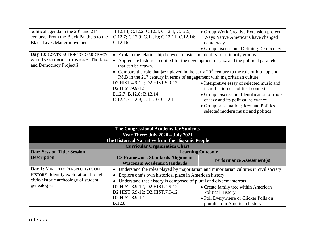| political agenda in the 20 <sup>th</sup> and 21 <sup>st</sup><br>century. From the Black Panthers to the | B.12.13; C.12.2; C.12.3; C.12.4; C.12.5;<br>• Group Work Creative Extension project:<br>C.12.7; C.12.9; C.12.10; C.12.11; C.12.14;<br>Ways Native Americans have changed              |                                                                                |  |  |
|----------------------------------------------------------------------------------------------------------|---------------------------------------------------------------------------------------------------------------------------------------------------------------------------------------|--------------------------------------------------------------------------------|--|--|
| <b>Black Lives Matter movement</b>                                                                       | C.12.16                                                                                                                                                                               | democracy                                                                      |  |  |
|                                                                                                          |                                                                                                                                                                                       | • Group discussion: Defining Democracy                                         |  |  |
| Day 10: CONTRIBUTION TO DEMOCRACY                                                                        | • Explain the relationship between music and identity for minority groups                                                                                                             |                                                                                |  |  |
| WITH JAZZ THROUGH HISTORY: The Jazz<br>and Democracy Project <sup>®</sup>                                | • Appreciate historical context for the development of jazz and the political parallels<br>that can be drawn.                                                                         |                                                                                |  |  |
|                                                                                                          | • Compare the role that jazz played in the early $20th$ century to the role of hip hop and<br>$R&B$ in the 21 <sup>st</sup> century in terms of engagement with majoritarian culture. |                                                                                |  |  |
|                                                                                                          | D2.HIST.4.9-12; D2.HIST.5.9-12;                                                                                                                                                       | • Interpretive essay of selected music and                                     |  |  |
|                                                                                                          | D <sub>2</sub> .HIST.9.9-12                                                                                                                                                           | its reflection of political context                                            |  |  |
|                                                                                                          | B.12.7; B.12.8; B.12.14                                                                                                                                                               | • Group Discussion: Identification of roots                                    |  |  |
|                                                                                                          | C.12.4; C.12.9; C.12.10; C.12.11                                                                                                                                                      | of jazz and its political relevance                                            |  |  |
|                                                                                                          |                                                                                                                                                                                       | • Group presentation; Jazz and Politics,<br>selected modern music and politics |  |  |

| The Congressional Academy for Students<br><b>Year Three: July 2020 - July 2021</b><br>The Historical Narrative from the Hispanic People<br><b>Curricular Organization Chart</b> |                                                                                          |                                       |  |
|---------------------------------------------------------------------------------------------------------------------------------------------------------------------------------|------------------------------------------------------------------------------------------|---------------------------------------|--|
| <b>Day: Session Title: Session</b>                                                                                                                                              |                                                                                          | <b>Learning Outcome</b>               |  |
| <b>Description</b>                                                                                                                                                              | <b>C3 Framework Standards Alignment</b>                                                  | <b>Performance Assessment(s)</b>      |  |
|                                                                                                                                                                                 | <b>Wisconsin Academic Standards</b>                                                      |                                       |  |
| Day 1: MINORITY PERSPECTIVES ON                                                                                                                                                 | • Understand the roles played by majoritarian and minoritarian cultures in civil society |                                       |  |
| HISTORY: Identity exploration through                                                                                                                                           | • Explore one's own historical place in American history                                 |                                       |  |
| civic/historic archeology of student                                                                                                                                            | Understand that history is composed of plural and diverse interests.                     |                                       |  |
| genealogies.                                                                                                                                                                    | D2.HIST.3.9-12; D2.HIST.4.9-12;                                                          | • Create family tree within American  |  |
|                                                                                                                                                                                 | D2.HIST.6.9-12; D2.HIST.7.9-12;                                                          | <b>Political History</b>              |  |
|                                                                                                                                                                                 | D2.HIST.8.9-12                                                                           | • Poll Everywhere or Clicker Polls on |  |
|                                                                                                                                                                                 | <b>B.12.8</b>                                                                            | pluralism in American history         |  |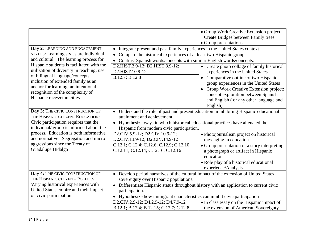|                                                                                                                                                                                                              |                                                                                                                                                                                                                                                                                                          | • Group Work Creative Extension project:<br>Create Bridges between Family trees                                                                                                                                      |  |  |  |
|--------------------------------------------------------------------------------------------------------------------------------------------------------------------------------------------------------------|----------------------------------------------------------------------------------------------------------------------------------------------------------------------------------------------------------------------------------------------------------------------------------------------------------|----------------------------------------------------------------------------------------------------------------------------------------------------------------------------------------------------------------------|--|--|--|
|                                                                                                                                                                                                              | • Group presentations                                                                                                                                                                                                                                                                                    |                                                                                                                                                                                                                      |  |  |  |
| Day 2: LEARNING AND ENGAGEMENT<br>STYLES: Learning styles are individual<br>and cultural. The learning process for<br>Hispanic students is facilitated with the<br>utilization of diversity in teaching: use | Integrate present and past family experiences in the United States context<br>$\bullet$<br>Compare the historical experiences of at least two Hispanic groups<br>$\bullet$<br>Contrast Spanish words/concepts with similar English words/concepts.<br>D2.HIST.2.9-12; D2.HIST.3.9-12;<br>D2.HIST.10.9-12 | • Create photo collage of family historical<br>experiences in the United States                                                                                                                                      |  |  |  |
| of bilingual language/concepts;<br>inclusion of extended family as an<br>anchor for learning; an intentional<br>recognition of the complexity of<br>Hispanic races/ethnicities                               | B.12.7; B.12.8                                                                                                                                                                                                                                                                                           | Comparative outline of two Hispanic<br>group experiences in the United States<br>Group Work Creative Extension project:<br>concept exploration between Spanish<br>and English (or any other language and<br>English) |  |  |  |
| Day 3: THE CIVIC CONSTRUCTION OF<br>THE HISPANIC CITIZEN. EDUCATION:<br>Civic participation requires that the<br>individual/group is informed about the                                                      | • Understand the role of past and present education in inhibiting Hispanic educational<br>attainment and achievement.<br>• Hypothesize ways in which historical educational practices have alienated the<br>Hispanic from modern civic participation.                                                    |                                                                                                                                                                                                                      |  |  |  |
| process. Education is both informative<br>and normative. Segregation and micro                                                                                                                               | D2.CIV.5.9-12; D2.CIV.10.9-12;<br>• Photojournalism project on historical<br>D2.CIV.13.9-12; D2.CIV.14.9-12<br>messaging in education                                                                                                                                                                    |                                                                                                                                                                                                                      |  |  |  |
| aggressions since the Treaty of<br>Guadalupe Hidalgo                                                                                                                                                         | C.12.1; C.12.4; C.12.6; C.12.9; C.12.10;<br>C.12.11; C.12.14; C.12.16; C.12.16                                                                                                                                                                                                                           | • Group presentation of a story interpreting<br>a photograph or artifact in Hispanic<br>education                                                                                                                    |  |  |  |
|                                                                                                                                                                                                              |                                                                                                                                                                                                                                                                                                          | • Role play of a historical educational<br>experience/Analysis                                                                                                                                                       |  |  |  |
| Day 4: THE CIVIC CONSTRUCTION OF<br>THE HISPANIC CITIZEN - POLITICS:<br>Varying historical experiences with                                                                                                  | • Develop period narratives of the cultural impact of the extension of United States<br>sovereignty over Hispanic populations.<br>• Differentiate Hispanic status throughout history with an application to current civic                                                                                |                                                                                                                                                                                                                      |  |  |  |
| United States empire and their impact<br>on civic participation.                                                                                                                                             | participation.<br>• Hypothesize how immigrant characteristics can inhibit civic participation                                                                                                                                                                                                            |                                                                                                                                                                                                                      |  |  |  |
|                                                                                                                                                                                                              | D2.CIV.2.9-12; D4.2.9-12; D4.7.9-12<br>B.12.1; B.12.4; B.12.15; C.12.7; C.12.8;                                                                                                                                                                                                                          | • In class essay on the Hispanic impact of<br>the extension of American Sovereignty                                                                                                                                  |  |  |  |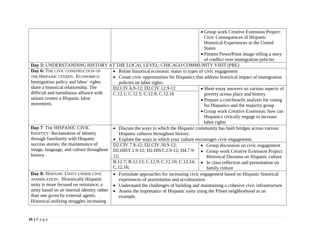|                                                                                                                                                                                                                                                           | Day 5: UNDERSTANDING HISTORY AT THE LOCAL LEVEL: CHICAGO COMMUNITY VISIT (PBE)                                                                                                                                                                                                                                                                      | • Group work Creative Extension Project:<br>Civic Consequences of Hispanic<br>Historical Experiences in the United<br><b>States</b><br>• Present PowerPoint image telling a story<br>of conflict over immigration policies                                                    |
|-----------------------------------------------------------------------------------------------------------------------------------------------------------------------------------------------------------------------------------------------------------|-----------------------------------------------------------------------------------------------------------------------------------------------------------------------------------------------------------------------------------------------------------------------------------------------------------------------------------------------------|-------------------------------------------------------------------------------------------------------------------------------------------------------------------------------------------------------------------------------------------------------------------------------|
| Day 6: THE CIVIC CONSTRUCTION OF<br>THE HISPANIC CITIZEN. ECONOMICS:<br>Immigration policy and labor` rights                                                                                                                                              | • Relate historical economic status to types of civic engagement<br>policies on labor rights.                                                                                                                                                                                                                                                       | Create civic opportunities for Hispanics that address historical impact of immigration                                                                                                                                                                                        |
| share a historical relationship. The<br>difficult and tumultuous alliance with<br>unions creates a Hispanic labor<br>movement.                                                                                                                            | D2.CIV.6.9-12; D2.CIV.12.9-12<br>C.12.1; C.12.5; C.12.9; C.12.16                                                                                                                                                                                                                                                                                    | • Short essay answers on various aspects of<br>poverty across place and history<br>• Prepare a cost/benefit analysis for voting<br>for Hispanics and the majority group<br>• Group work Creative Extension: how can<br>Hispanics civically engage to increase<br>labor rights |
| Day 7: THE HISPANIC CIVIC<br><b>IDENTITY: Reclamation of identity</b><br>through familiarity with Hispanic<br>success stories; the maintenance of<br>image, language, and culture throughout<br>history.                                                  | • Discuss the ways in which the Hispanic community has built bridges across various<br>Hispanic cultures throughout history.<br>• Explore the ways in which your culture encourages civic engagement.<br>D2.CIV.7.9-12; D2.CIV.10.9-12;<br>D2.HIST.1.9-12; D2.HIST.2.9-12; D4.7.9-<br>12;<br>B.12.7; B.12.13; C.12.9; C.12.10; C.12.14;<br>C.12.16; | • Group discussion on civic engagement<br>Group work Creative Extension Project:<br>Historical Diorama on Hispanic culture<br>In class reflection and presentation on<br>$\bullet$<br>family culture                                                                          |
| Day 8: HISPANIC UNITY UNDER CIVIC<br><b>ASSIMILATION: Historically Hispanic</b><br>unity is more focused on resistance; a<br>unity based on an internal identity rather<br>than one given by external agents.<br>Historical unifying struggles increasing | • Formulate approaches for increasing civic engagement based on Hispanic historical<br>experiences of assimilation and acculturation<br>• Understand the challenges of building and maintaining a cohesive civic infrastructure<br>• Assess the importance of Hispanic unity using the Pilsen neighborhood as an<br>example.                        |                                                                                                                                                                                                                                                                               |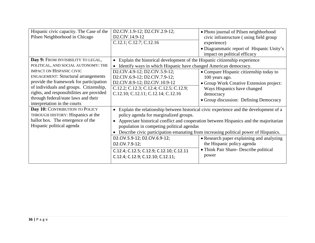| Hispanic civic capacity. The Case of the   | D2.CIV.1.9-12; D2.CIV.2.9-12;                                                           | • Photo journal of Pilsen neighborhood                                                |
|--------------------------------------------|-----------------------------------------------------------------------------------------|---------------------------------------------------------------------------------------|
| Pilsen Neighborhood in Chicago             | D2.CIV.14.9-12                                                                          | civic infrastructure (using field group                                               |
|                                            | C.12.1; C.12.7; C.12.16                                                                 | experience)                                                                           |
|                                            |                                                                                         | • Diagrammatic report of Hispanic Unity's                                             |
|                                            |                                                                                         | impact on political efficacy                                                          |
| Day 9: FROM INVISIBILITY TO LEGAL,         | • Explain the historical development of the Hispanic citizenship experience             |                                                                                       |
| POLITICAL, AND SOCIAL AUTONOMY: THE        | Identify ways in which Hispanic have changed American democracy.                        |                                                                                       |
| <b>IMPACT ON HISPANIC CIVIC</b>            | D2.CIV.4.9-12; D2.CIV.5.9-12;                                                           | • Compare Hispanic citizenship today to                                               |
| <b>ENGAGEMENT: Structural arrangements</b> | D2.CIV.6.9-12; D2.CIV.7.9-12;                                                           | 100 years ago.                                                                        |
| provide the framework for participation    | D2.CIV.8.9-12; D2.CIV.10.9-12                                                           | • Group Work Creative Extension project:                                              |
| of individuals and groups. Citizenship,    | C.12.2; C.12.3; C.12.4; C.12.5; C.12.9;                                                 | Ways Hispanics have changed                                                           |
| rights, and responsibilities are provided  | C.12.10; C.12.11; C.12.14; C.12.16                                                      | democracy                                                                             |
| through federal/state laws and their       |                                                                                         | • Group discussion: Defining Democracy                                                |
| interpretation in the courts               |                                                                                         |                                                                                       |
| Day 10: CONTRIBUTION TO POLICY             | • Explain the relationship between historical civic experience and the development of a |                                                                                       |
| THROUGH HISTORY: Hispanics at the          | policy agenda for marginalized groups.                                                  |                                                                                       |
| ballot box. The emergence of the           |                                                                                         | Appreciate historical conflict and cooperation between Hispanics and the majoritarian |
| Hispanic political agenda                  | population in competing political agendas                                               |                                                                                       |
|                                            |                                                                                         | Describe civic participation emanating from increasing political power of Hispanics.  |
|                                            | D2.CIV.5.9-12; D2.CIV.6.9-12;                                                           | • Research paper explaining and analyzing                                             |
|                                            | D2.CIV.7.9-12;                                                                          | the Hispanic policy agenda                                                            |
|                                            | C.12.4; C.12.5; C.12.9; C.12.10; C.12.11                                                | • Think Pair Share- Describe political                                                |
|                                            | C.12.4; C.12.9; C.12.10; C.12.11;                                                       | power                                                                                 |
|                                            |                                                                                         |                                                                                       |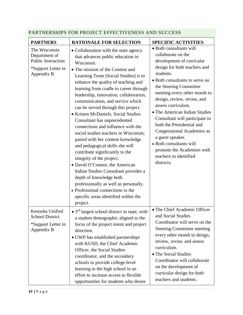| <b>PARTNERS</b>                                                                                 | <b>RATIONALE FOR SELECTION</b>                                                                                                                                                                                                                                                                                                                                                                                                                                                                                                                                                                                                                                                                                                                                                                                                                                                                                  | <b>SPECIFIC ACTIVITIES</b>                                                                                                                                                                                                                                                                                                                                                                                                                                                                                                         |
|-------------------------------------------------------------------------------------------------|-----------------------------------------------------------------------------------------------------------------------------------------------------------------------------------------------------------------------------------------------------------------------------------------------------------------------------------------------------------------------------------------------------------------------------------------------------------------------------------------------------------------------------------------------------------------------------------------------------------------------------------------------------------------------------------------------------------------------------------------------------------------------------------------------------------------------------------------------------------------------------------------------------------------|------------------------------------------------------------------------------------------------------------------------------------------------------------------------------------------------------------------------------------------------------------------------------------------------------------------------------------------------------------------------------------------------------------------------------------------------------------------------------------------------------------------------------------|
| The Wisconsin<br>Department of<br><b>Public Instruction</b><br>*Support Letter in<br>Appendix B | • Collaboration with the state agency<br>that advances public education in<br>Wisconsin.<br>• The mission of the Content and<br>Learning Team (Social Studies) is to<br>enhance the quality of teaching and<br>learning from cradle to career through<br>leadership, innovation, collaboration,<br>communication, and service which<br>can be served through this project.<br>• Kristen McDaniels, Social Studies<br>Consultant has unprecedented<br>connections and influence with the<br>social studies teachers in Wisconsin;<br>paired with her content knowledge<br>and pedagogical skills she will<br>contribute significantly to the<br>integrity of the project.<br>• David O'Connor, the American<br>Indian Studies Consultant provides a<br>depth of knowledge both<br>professionally as well as personally.<br>• Professional connections to the<br>specific areas identified within the<br>project. | · Both consultants will<br>collaborate on the<br>development of curricular<br>design for both teachers and<br>students.<br>• Both consultants to serve on<br>the Steering Committee<br>meeting every other month to<br>design, review, revise, and<br>assess curriculum.<br>• The American Indian Studies<br>Consultant will participate in<br>both the Presidential and<br><b>Congressional Academies as</b><br>a guest speaker.<br>• Both consultants will<br>promote the Academies with<br>teachers in identified<br>districts. |
| Kenosha Unified<br><b>School District</b><br>*Support Letter in<br>Appendix B                   | • $3rd$ largest school district in state, with<br>a student demographic aligned to the<br>focus of the project intent and project<br>direction.<br>• UWP has established partnerships<br>with KUSD, the Chief Academic<br>Officer, the Social Studies<br>coordinator, and the secondary<br>schools to provide college-level<br>learning in the high school in an<br>effort to increase access to flexible<br>opportunities for students who desire                                                                                                                                                                                                                                                                                                                                                                                                                                                              | • The Chief Academic Officer<br>and Social Studies<br>Coordinator will serve on the<br><b>Steering Committee meeting</b><br>every other month to design,<br>review, revise, and assess<br>curriculum.<br>• The Social Studies<br>Coordinator will collaborate<br>on the development of<br>curricular design for both<br>teachers and students.                                                                                                                                                                                     |

# <span id="page-37-0"></span>PARTNERSHIPS FOR PROJECT EFFECTIVENESS AND SUCCESS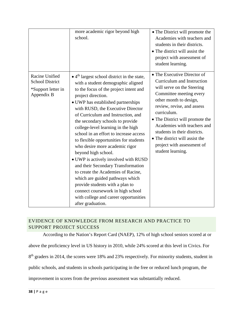|                                                                              | more academic rigor beyond high<br>school.                                                                                                                                                                                                                                                                                                                                                                                                                                                                                                                                                                                                                                                                                                                                                                 | • The District will promote the<br>Academies with teachers and<br>students in their districts.<br>• The district will assist the<br>project with assessment of<br>student learning.                                                                                                                                                                                              |
|------------------------------------------------------------------------------|------------------------------------------------------------------------------------------------------------------------------------------------------------------------------------------------------------------------------------------------------------------------------------------------------------------------------------------------------------------------------------------------------------------------------------------------------------------------------------------------------------------------------------------------------------------------------------------------------------------------------------------------------------------------------------------------------------------------------------------------------------------------------------------------------------|----------------------------------------------------------------------------------------------------------------------------------------------------------------------------------------------------------------------------------------------------------------------------------------------------------------------------------------------------------------------------------|
| Racine Unified<br><b>School District</b><br>*Support letter in<br>Appendix B | $\bullet$ 4 <sup>th</sup> largest school district in the state,<br>with a student demographic aligned<br>to the focus of the project intent and<br>project direction.<br>· UWP has established partnerships<br>with RUSD, the Executive Director<br>of Curriculum and Instruction, and<br>the secondary schools to provide<br>college-level learning in the high<br>school in an effort to increase access<br>to flexible opportunities for students<br>who desire more academic rigor<br>beyond high school.<br>• UWP is actively involved with RUSD<br>and their Secondary Transformation<br>to create the Academies of Racine,<br>which are guided pathways which<br>provide students with a plan to<br>connect coursework in high school<br>with college and career opportunities<br>after graduation. | • The Executive Director of<br>Curriculum and Instruction<br>will serve on the Steering<br>Committee meeting every<br>other month to design,<br>review, revise, and assess<br>curriculum.<br>• The District will promote the<br>Academies with teachers and<br>students in their districts.<br>• The district will assist the<br>project with assessment of<br>student learning. |

# <span id="page-38-0"></span>EVIDENCE OF KNOWLEDGE FROM RESEARCH AND PRACTICE TO SUPPORT PROJECT SUCCESS

According to the Nation's Report Card (NAEP), 12% of high school seniors scored at or

above the proficiency level in US history in 2010, while 24% scored at this level in Civics. For

8<sup>th</sup> graders in 2014, the scores were 18% and 23% respectively. For minority students, student in

public schools, and students in schools participating in the free or reduced lunch program, the

improvement in scores from the previous assessment was substantially reduced.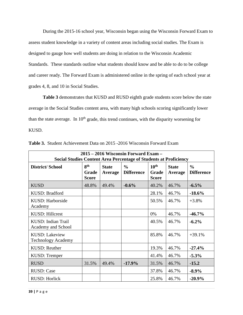During the 2015-16 school year, Wisconsin began using the Wisconsin Forward Exam to assess student knowledge in a variety of content areas including social studies. The Exam is designed to gauge how well students are doing in relation to the Wisconsin Academic Standards. These standards outline what students should know and be able to do to be college and career ready. The Forward Exam is administered online in the spring of each school year at grades 4, 8, and 10 in Social Studies.

**Table 3** demonstrates that KUSD and RUSD eighth grade students score below the state average in the Social Studies content area, with many high schools scoring significantly lower than the state average. In  $10<sup>th</sup>$  grade, this trend continues, with the disparity worsening for KUSD.

| 2015 – 2016 Wisconsin Forward Exam –<br><b>Social Studies Content Area Percentage of Students at Proficiency</b> |                                          |                         |                                    |                                           |                         |                                    |
|------------------------------------------------------------------------------------------------------------------|------------------------------------------|-------------------------|------------------------------------|-------------------------------------------|-------------------------|------------------------------------|
| <b>District/School</b>                                                                                           | 8 <sup>th</sup><br>Grade<br><b>Score</b> | <b>State</b><br>Average | $\frac{6}{6}$<br><b>Difference</b> | 10 <sup>th</sup><br>Grade<br><b>Score</b> | <b>State</b><br>Average | $\frac{0}{0}$<br><b>Difference</b> |
| <b>KUSD</b>                                                                                                      | 48.8%                                    | 49.4%                   | $-0.6%$                            | 40.2%                                     | 46.7%                   | $-6.5%$                            |
| KUSD: Bradford                                                                                                   |                                          |                         |                                    | 28.1%                                     | 46.7%                   | $-18.6%$                           |
| KUSD: Harborside<br>Academy                                                                                      |                                          |                         |                                    | 50.5%                                     | 46.7%                   | $+3.8%$                            |
| <b>KUSD: Hillcrest</b>                                                                                           |                                          |                         |                                    | 0%                                        | 46.7%                   | $-46.7\%$                          |
| KUSD: Indian Trail<br>Academy and School                                                                         |                                          |                         |                                    | 40.5%                                     | 46.7%                   | $-6.2%$                            |
| <b>KUSD: Lakeview</b><br><b>Technology Academy</b>                                                               |                                          |                         |                                    | 85.8%                                     | 46.7%                   | $+39.1%$                           |
| <b>KUSD: Reuther</b>                                                                                             |                                          |                         |                                    | 19.3%                                     | 46.7%                   | $-27.4%$                           |
| KUSD: Tremper                                                                                                    |                                          |                         |                                    | 41.4%                                     | 46.7%                   | $-5.3\%$                           |
| <b>RUSD</b>                                                                                                      | 31.5%                                    | 49.4%                   | $-17.9%$                           | 31.5%                                     | 46.7%                   | $-15.2$                            |
| <b>RUSD: Case</b>                                                                                                |                                          |                         |                                    | 37.8%                                     | 46.7%                   | $-8.9\%$                           |
| <b>RUSD: Horlick</b>                                                                                             |                                          |                         |                                    | 25.8%                                     | 46.7%                   | $-20.9%$                           |

**Table 3.** Student Achievement Data on 2015 -2016 Wisconsin Forward Exam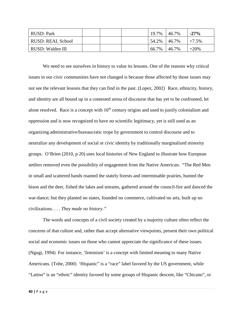| RUSD: Park               |  | 19.7% 46.7% |           | $-27%$   |
|--------------------------|--|-------------|-----------|----------|
| <b>RUSD: REAL School</b> |  | 54.2% 46.7% |           | $+7.5\%$ |
| RUSD: Walden III         |  | 66.7%       | $146.7\%$ | $+20%$   |

We need to see ourselves in history to value its lessons. One of the reasons why critical issues in our civic communities have not changed is because those affected by those issues may not see the relevant lessons that they can find in the past. (Lopez, 2002) Race, ethnicity, history, and identity are all bound up in a contested arena of discourse that has yet to be confronted, let alone resolved. Race is a concept with  $16<sup>th</sup>$  century origins and used to justify colonialism and oppression and is now recognized to have no scientific legitimacy, yet is still used as an organizing administrative/bureaucratic trope by government to control discourse and to neutralize any development of social or civic identity by traditionally marginalized minority groups. O'Brien (2010, p 20) uses local histories of New England to illustrate how European settlers removed even the possibility of engagement from the Native American. "The Red Men in small and scattered bands roamed the stately forests and interminable prairies, hunted the bison and the deer, fished the lakes and streams, gathered around the council-fire and danced the war-dance; but they planted no states, founded no commerce, cultivated no arts, built up no civilizations. . . . *They made no history."*

The words and concepts of a civil society created by a majority culture often reflect the concerns of that culture and, rather than accept alternative viewpoints, present their own political social and economic issues on those who cannot appreciate the significance of these issues. (Ngugi, 1994) For instance, 'feminism' is a concept with limited meaning to many Native Americans. (Tohe, 2000) 'Hispanic" is a "race" label favored by the US government, while "Latino" is an "ethnic" identity favored by some groups of Hispanic descent, like "Chicano", or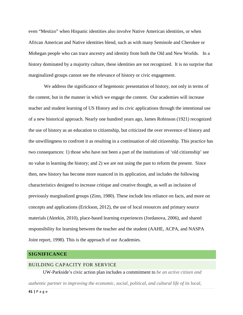even "Mestizo" when Hispanic identities also involve Native American identities, or when African American and Native identities blend, such as with many Seminole and Cherokee or Mohegan people who can trace ancestry and identity from both the Old and New Worlds. In a history dominated by a majority culture, these identities are not recognized. It is no surprise that marginalized groups cannot see the relevance of history or civic engagement.

We address the significance of hegemonic presentation of history, not only in terms of the content, but in the manner in which we engage the content. Our academies will increase teacher and student learning of US History and its civic applications through the intentional use of a new historical approach. Nearly one hundred years ago, James Robinson (1921) recognized the use of history as an education to citizenship, but criticized the over reverence of history and the unwillingness to confront it as resulting in a continuation of old citizenship. This practice has two consequences: 1) those who have not been a part of the institutions of 'old citizenship' see no value in learning the history; and 2) we are not using the past to reform the present. Since then, new history has become more nuanced in its application, and includes the following characteristics designed to increase critique and creative thought, as well as inclusion of previously marginalized groups (Zinn, 1980). These include less reliance on facts, and more on concepts and applications (Erickson, 2012), the use of local resources and primary source materials (Aktekin, 2010), place-based learning experiences (Jordanova, 2006), and shared responsibility for learning between the teacher and the student (AAHE, ACPA, and NASPA Joint report, 1998). This is the approach of our Academies.

#### <span id="page-41-0"></span>**SIGNIFICANCE**

#### <span id="page-41-1"></span>BUILDING CAPACITY FOR SERVICE

UW-Parkside's civic action plan includes a commitment to *be an active citizen and* 

*authentic partner in improving the economic, social, political, and cultural life of its local,*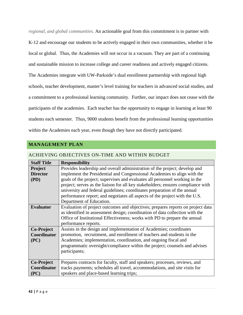*regional, and global communities.* An actionable goal from this commitment is to partner with

K-12 and encourage our students to be actively engaged in their own communities, whether it be local or global. Thus, the Academies will not occur in a vacuum. They are part of a continuing and sustainable mission to increase college and career readiness and actively engaged citizens. The Academies integrate with UW-Parkside's dual enrollment partnership with regional high schools, teacher development, master's level training for teachers in advanced social studies, and a commitment to a professional learning community. Further, our impact does not cease with the participants of the academies. Each teacher has the opportunity to engage in learning at least 90 students each semester. Thus, 9000 students benefit from the professional learning opportunities within the Academies each year, even though they have not directly participated.

#### <span id="page-42-0"></span>**MANAGEMENT PLAN**

| <b>Staff Title</b> | <b>Responsibility</b>                                                            |
|--------------------|----------------------------------------------------------------------------------|
| <b>Project</b>     | Provides leadership and overall administration of the project; develop and       |
| <b>Director</b>    | implement the Presidential and Congressional Academies to align with the         |
|                    |                                                                                  |
| (PD)               | goals of the project; supervises and evaluates all personnel working in the      |
|                    | project; serves as the liaison for all key stakeholders; ensures compliance with |
|                    | university and federal guidelines; coordinates preparation of the annual         |
|                    | performance report; and negotiates all aspects of the project with the U.S.      |
|                    | Department of Education.                                                         |
| <b>Evaluator</b>   | Evaluation of project outcomes and objectives; prepares reports on project data  |
|                    | as identified in assessment design; coordination of data collection with the     |
|                    | Office of Institutional Effectiveness; works with PD to prepare the annual       |
|                    | performance reports.                                                             |
| Co-Project         | Assists in the design and implementation of Academies; coordinates               |
| Coordinator        | promotion, recruitment, and enrollment of teachers and students in the           |
| (PC)               | Academies; implementation, coordination, and ongoing fiscal and                  |
|                    | programmatic oversight/compliance within the project; counsels and advises       |
|                    | participants;                                                                    |
|                    |                                                                                  |
| <b>Co-Project</b>  | Prepares contracts for faculty, staff and speakers; processes, reviews, and      |
| Coordinator        | tracks payments; schedules all travel, accommodations, and site visits for       |
| (PC)               | speakers and place-based learning trips;                                         |

#### <span id="page-42-1"></span>ACHIEVING OBJECTIVES ON-TIME AND WITHIN BUDGET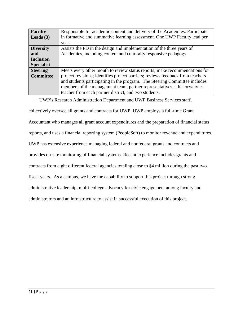| <b>Faculty</b>    | Responsible for academic content and delivery of the Academies. Participate    |
|-------------------|--------------------------------------------------------------------------------|
| Leads $(3)$       | in formative and summative learning assessment. One UWP Faculty lead per       |
|                   | year.                                                                          |
| <b>Diversity</b>  | Assists the PD in the design and implementation of the three years of          |
| and               | Academies, including content and culturally responsive pedagogy.               |
| <b>Inclusion</b>  |                                                                                |
| <b>Specialist</b> |                                                                                |
| <b>Steering</b>   | Meets every other month to review status reports; make recommendations for     |
| <b>Committee</b>  | project revisions; identifies project barriers; reviews feedback from teachers |
|                   | and students participating in the program. The Steering Committee includes     |
|                   | members of the management team, partner representatives, a history/civics      |
|                   | teacher from each partner district, and two students.                          |

UWP's Research Administration Department and UWP Business Services staff,

collectively oversee all grants and contracts for UWP. UWP employs a full-time Grant Accountant who manages all grant account expenditures and the preparation of financial status reports, and uses a financial reporting system (PeopleSoft) to monitor revenue and expenditures. UWP has extensive experience managing federal and nonfederal grants and contracts and provides on-site monitoring of financial systems. Recent experience includes grants and contracts from eight different federal agencies totaling close to \$4 million during the past two fiscal years. As a campus, we have the capability to support this project through strong administrative leadership, multi-college advocacy for civic engagement among faculty and administrators and an infrastructure to assist in successful execution of this project.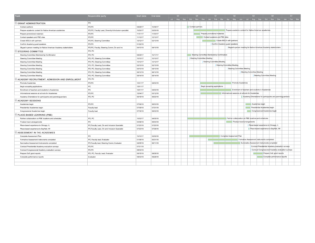| Task                                                             | Responsible party                                     | Start date | End date | Q3 |  | Q4                         |  | Q1                                         |  | Q2                             |                            | Q3                                                                                  |                 |                              | Q4                                     |                                                  | Q1 |  |
|------------------------------------------------------------------|-------------------------------------------------------|------------|----------|----|--|----------------------------|--|--------------------------------------------|--|--------------------------------|----------------------------|-------------------------------------------------------------------------------------|-----------------|------------------------------|----------------------------------------|--------------------------------------------------|----|--|
|                                                                  |                                                       |            |          |    |  |                            |  |                                            |  |                                |                            | Jul Aug Sep Oct Nov Dec Jan Feb Mar Apr May Jun Jul Aug Sep Oct Nov Dec Jan Feb Mar |                 |                              |                                        |                                                  |    |  |
| SRANT ADMINISTRATION                                             | PD                                                    |            |          |    |  |                            |  |                                            |  |                                |                            |                                                                                     |                 |                              |                                        |                                                  |    |  |
| Contact partners                                                 | PD:PC                                                 | 09/29/17   | 10/06/17 |    |  | Contact partners           |  |                                            |  |                                |                            |                                                                                     |                 |                              |                                        |                                                  |    |  |
| Prepare academic content for Native American academies           | PD;PC; Faculty Lead, Diversity & Inclusion specialist | 10/30/17   | 03/30/18 |    |  |                            |  |                                            |  |                                |                            | Prepare academic content for Native American academies                              |                 |                              |                                        |                                                  |    |  |
| Prepare promotional materials                                    | PD:PC                                                 | 11/01/17   | 11/30/17 |    |  |                            |  | Prepare promotional materials              |  |                                |                            |                                                                                     |                 |                              |                                        |                                                  |    |  |
| Contact speakers and PBE sites                                   | PD:PC                                                 | 11/13/17   | 12/13/17 |    |  |                            |  | Contact speakers and PBE sites             |  |                                |                            |                                                                                     |                 |                              |                                        |                                                  |    |  |
| Create MOU's with partners                                       | PD;PC; Steering Committee                             | 12/12/17   | 02/13/18 |    |  |                            |  |                                            |  | Create MOU's with partners     |                            |                                                                                     |                 |                              |                                        |                                                  |    |  |
| Confirm Academy guest speakers                                   | PD:PC                                                 | 01/22/18   |          |    |  |                            |  |                                            |  | Confirm Academy guest speakers |                            |                                                                                     |                 |                              |                                        |                                                  |    |  |
| Skype/in person meeting for Native American Academy stakeholders | PD;PC; Faculty; Steering Comm; Div and Inc            | 04/10/18   | 04/10/18 |    |  |                            |  |                                            |  |                                |                            | Skype/in person meeting for Native American Academy stakeholders                    |                 |                              |                                        |                                                  |    |  |
| $=$ STEERING COMMITTEE                                           | PD; PC                                                |            |          |    |  |                            |  |                                            |  |                                |                            |                                                                                     |                 |                              |                                        |                                                  |    |  |
| Steering Committee Membership Confirmation                       | PD: PC                                                | 09/29/17   | 10/17/17 |    |  |                            |  | Steering Committee Membership Confirmation |  |                                |                            |                                                                                     |                 |                              |                                        |                                                  |    |  |
| Steering Committee Meeting                                       | PD; PC; Steering Committee                            | 10/10/17   | 10/10/17 |    |  | Steering Committee Meeting |  |                                            |  |                                |                            |                                                                                     |                 |                              |                                        |                                                  |    |  |
| Steering Committee Meeting                                       | PD; PC; Steering Committee                            | 12/12/17   | 12/12/17 |    |  |                            |  | Steering Committee Meeting                 |  |                                |                            |                                                                                     |                 |                              |                                        |                                                  |    |  |
| Steering Committee Meeting                                       | PD; PC; Steering Committee                            | 02/13/18   | 02/13/18 |    |  |                            |  |                                            |  | Steering Committee Meeting     |                            |                                                                                     |                 |                              |                                        |                                                  |    |  |
| Steering Committee Meeting                                       | PD; PC; Steering Committee                            | 04/10/18   | 04/10/18 |    |  |                            |  |                                            |  |                                | Steering Committee Meeting |                                                                                     |                 |                              |                                        |                                                  |    |  |
| Steering Committee Meeting                                       | PD; PC; Steering Committee                            | 06/12/18   | 06/12/18 |    |  |                            |  |                                            |  |                                |                            | Steering Committee Meeting                                                          |                 |                              |                                        |                                                  |    |  |
| Steering Committee Meeting                                       | PD; PC; Steering Committee                            | 08/14/18   | 08/14/18 |    |  |                            |  |                                            |  |                                |                            |                                                                                     |                 |                              | Steering Committee Meeting             |                                                  |    |  |
| SACADEMY RECRUITMENT, ADMISSION AND ENROLLMENT                   | PD: PC                                                |            |          |    |  |                            |  |                                            |  |                                |                            |                                                                                     |                 |                              |                                        |                                                  |    |  |
| Promote Academies                                                | PD:PC                                                 | 12/01/17   | 04/30/18 |    |  |                            |  |                                            |  |                                | Promote Academies          |                                                                                     |                 |                              |                                        |                                                  |    |  |
| Begin accepting applications                                     | PC.                                                   | 12/01/17   |          |    |  |                            |  | Begin accepting applications               |  |                                |                            |                                                                                     |                 |                              |                                        |                                                  |    |  |
| Enrollment of teachers and students in Academies                 | PC                                                    | 12/01/17   | 04/30/18 |    |  |                            |  |                                            |  |                                |                            | Enrollment of teachers and students in Academies                                    |                 |                              |                                        |                                                  |    |  |
| Informational sessions at schools for Academies                  | PD:PC                                                 | 12/04/17   | 03/12/18 |    |  |                            |  |                                            |  |                                |                            | Informational sessions at schools for Academies                                     |                 |                              |                                        |                                                  |    |  |
| Academy Orientations for participants and parents/guardians      | PD, PC                                                | 06/18/18   | 06/22/18 |    |  |                            |  |                                            |  |                                |                            | Academy Orientations for participants and parents/guardians                         |                 |                              |                                        |                                                  |    |  |
| ACADEMY SESSIONS                                                 |                                                       |            |          |    |  |                            |  |                                            |  |                                |                            |                                                                                     |                 |                              |                                        |                                                  |    |  |
| Academies begin                                                  | PD:PC                                                 | 07/09/18   | 08/03/18 |    |  |                            |  |                                            |  |                                |                            |                                                                                     | Academies begin |                              |                                        |                                                  |    |  |
| Presidential Academies begin                                     | Faculty lead                                          | 07/09/18   | 07/31/18 |    |  |                            |  |                                            |  |                                |                            |                                                                                     |                 | Presidential Academies begin |                                        |                                                  |    |  |
| Congressional Academies begin                                    | Faculty lead                                          | 07/16/18   | 08/03/18 |    |  |                            |  |                                            |  |                                |                            |                                                                                     |                 |                              | Congressional Academies begin          |                                                  |    |  |
| PLACE-BASED LEARNING (PBE)                                       |                                                       |            |          |    |  |                            |  |                                            |  |                                |                            |                                                                                     |                 |                              |                                        |                                                  |    |  |
| Partner collaboration on PBE locations and schedules             | PD, PC                                                | 10/02/17   | 04/05/18 |    |  |                            |  |                                            |  |                                |                            | Partner collaboration on PBE locations and schedules                                |                 |                              |                                        |                                                  |    |  |
| Finalize travel arrangements                                     | PC.                                                   | 04/06/18   | 05/04/18 |    |  |                            |  |                                            |  |                                |                            | Finalize travel arrangements                                                        |                 |                              |                                        |                                                  |    |  |
| Place-based experience to Chicago, IL                            | PC;Faculty Lead, Div and Inclusion Specialist         | 07/20/18   | 07/20/18 |    |  |                            |  |                                            |  |                                |                            | Place-based experience to Chicago, IL                                               |                 |                              |                                        |                                                  |    |  |
| Place-based experience to Bayfield, WI                           | PC;Faculty Lead, Div and Inclusion Specialist         | 07/23/18   | 07/26/18 |    |  |                            |  |                                            |  |                                |                            |                                                                                     |                 |                              | Place-based experience to Bayfield, WI |                                                  |    |  |
| ASSESSMENT IN THE ACADEMIES                                      |                                                       |            |          |    |  |                            |  |                                            |  |                                |                            |                                                                                     |                 |                              |                                        |                                                  |    |  |
| Complete Assessment Plan                                         | PC.                                                   | 10/10/17   | 03/05/18 |    |  |                            |  |                                            |  | Complete Assessment Plan       |                            |                                                                                     |                 |                              |                                        |                                                  |    |  |
| Formative Assessment instruments completed                       | PC; Faculty lead; Evaluator                           | 01/08/18   | 05/31/18 |    |  |                            |  |                                            |  |                                |                            | Formative Assessment instruments completed                                          |                 |                              |                                        |                                                  |    |  |
| Summative Assessment instruments completed                       | PC;Faculty lead; Steering Comm; Evaluator             | 02/05/18   | 06/11/18 |    |  |                            |  |                                            |  |                                |                            | Summative Assessment instruments completed                                          |                 |                              |                                        |                                                  |    |  |
| Conduct Presidential Academy evaluation surveys                  | PD.PC                                                 | 07/31/18   |          |    |  |                            |  |                                            |  |                                |                            |                                                                                     |                 |                              |                                        | Conduct Presidential Academy evaluation surveys  |    |  |
| Conduct Congressional Academy evaluation surveys                 | PD.PC                                                 | 08/03/18   |          |    |  |                            |  |                                            |  |                                |                            |                                                                                     |                 |                              |                                        | Conduct Congressional Academy evaluation surveys |    |  |
| Prepare DoE grant reports                                        | PD, PC, Faculty Lead; Evaluator                       | 08/15/18   | 09/28/18 |    |  |                            |  |                                            |  |                                |                            |                                                                                     |                 |                              |                                        | Prepare DoE grant reports                        |    |  |
| Complete performance reports                                     | Evaluator                                             | 09/03/18   | 09/28/18 |    |  |                            |  |                                            |  |                                |                            |                                                                                     |                 |                              |                                        | Complete performance reports                     |    |  |
|                                                                  |                                                       |            |          |    |  |                            |  |                                            |  |                                |                            |                                                                                     |                 |                              |                                        |                                                  |    |  |
|                                                                  |                                                       |            |          |    |  |                            |  |                                            |  |                                |                            |                                                                                     |                 |                              |                                        |                                                  |    |  |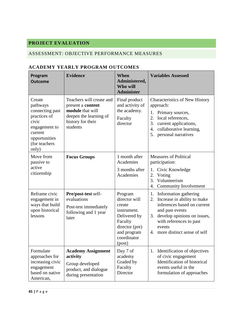# <span id="page-45-0"></span>**PROJECT EVALUATION**

# <span id="page-45-1"></span>ASSESSMENT: OBJECTIVE PERFORMANCE MEASURES

# <span id="page-45-2"></span>**ACADEMY YEARLY PROGRAM OUTCOMES**

| Program<br><b>Outcome</b>                                                                                                             | <b>Evidence</b>                                                                                                              | When<br>Administered,<br>Who will<br><b>Administer</b>                                                                                 | <b>Variables Assessed</b>                                                                                                                                                                                                                                                                  |
|---------------------------------------------------------------------------------------------------------------------------------------|------------------------------------------------------------------------------------------------------------------------------|----------------------------------------------------------------------------------------------------------------------------------------|--------------------------------------------------------------------------------------------------------------------------------------------------------------------------------------------------------------------------------------------------------------------------------------------|
| Create<br>pathways<br>connecting past<br>practices of<br>civic<br>engagement to<br>current<br>opportunities<br>(for teachers<br>only) | Teachers will create and<br>present a content<br>module that will<br>deepen the learning of<br>history for their<br>students | Final product<br>and activity of<br>the academy.<br>Faculty<br>director                                                                | <b>Characteristics of New History</b><br>approach:<br>1. Primary sources,<br>2.<br>local references,<br>3.<br>current applications,<br>collaborative learning,<br>4.<br>5. personal narratives                                                                                             |
| Move from<br>passive to<br>active<br>citizenship                                                                                      | <b>Focus Groups</b>                                                                                                          | 1 month after<br>Academies<br>3 months after<br>Academies                                                                              | <b>Measures of Political</b><br>participation:<br>Civic Knowledge<br>1.<br>2.<br>Voting                                                                                                                                                                                                    |
| Reframe civic<br>engagement in<br>ways that build<br>upon historical<br>lessons                                                       | Pre/post-test self-<br>evaluations<br>Post-test immediately<br>following and 1 year<br>later                                 | Program<br>director will<br>create<br>instrument.<br>Delivered by<br>Faculty<br>director (pre)<br>and program<br>coordinator<br>(post) | Volunteerism<br>3.<br><b>Community Involvement</b><br>4.<br>Information gathering<br>1.<br>Increase in ability to make<br>2.<br>inferences based on current<br>and past events<br>develop opinions on issues,<br>3.<br>with references to past<br>events<br>4. more distinct sense of self |
| Formulate<br>approaches for<br>increasing civic<br>engagement<br>based on native<br>American,                                         | <b>Academy Assignment</b><br>activity<br>Group developed<br>product, and dialogue<br>during presentation                     | Day 7 of<br>academy<br>Graded by<br>Faculty<br>Director                                                                                | 1. Identification of objectives<br>of civic engagement<br>Identification of historical<br>events useful in the<br>formulation of approaches                                                                                                                                                |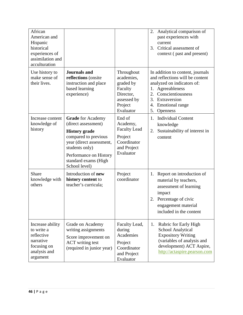<span id="page-46-0"></span>

| African<br>American and<br>Hispanic<br>historical<br>experiences of<br>assimilation and<br>acculturation |                                                                                                                                                                                                                  |                                                                                                      | Analytical comparison of<br>2.<br>past experiences with<br>current<br>Critical assessment of<br>3.<br>context (past and present)                                                                                                |
|----------------------------------------------------------------------------------------------------------|------------------------------------------------------------------------------------------------------------------------------------------------------------------------------------------------------------------|------------------------------------------------------------------------------------------------------|---------------------------------------------------------------------------------------------------------------------------------------------------------------------------------------------------------------------------------|
| Use history to<br>make sense of<br>their lives.                                                          | <b>Journals</b> and<br>reflections (onsite<br>instruction and place<br>based learning<br>experience)                                                                                                             | Throughout<br>academies,<br>graded by<br>Faculty<br>Director,<br>assessed by<br>Project<br>Evaluator | In addition to content, journals<br>and reflections will be content<br>analyzed on indicators of:<br>1. Agreeableness<br>Conscientiousness<br>2.<br>3.<br>Extraversion<br><b>Emotional</b> range<br>4.<br>5.<br><b>Openness</b> |
| Increase content<br>knowledge of<br>history                                                              | <b>Grade</b> for Academy<br>(direct assessment)<br><b>History</b> grade<br>compared to previous<br>year (direct assessment,<br>students only)<br>Performance on History<br>standard exams (High<br>School level) | End of<br>Academy,<br><b>Faculty Lead</b><br>Project<br>Coordinator<br>and Project<br>Evaluator      | <b>Individual Content</b><br>1.<br>knowledge<br>Sustainability of interest in<br>2.<br>content                                                                                                                                  |
| <b>Share</b><br>knowledge with<br>others                                                                 | Introduction of <b>new</b><br>history content to<br>teacher's curricula;                                                                                                                                         | Project<br>coordinator                                                                               | Report on introduction of<br>1.<br>material by teachers,<br>assessment of learning<br>impact<br>Percentage of civic<br>2.<br>engagement material<br>included in the content                                                     |
| Increase ability<br>to write a<br>reflective<br>narrative<br>focusing on<br>analysis and<br>argument     | Grade on Academy<br>writing assignments<br>Score improvement on<br><b>ACT</b> writing test<br>(required in junior year)                                                                                          | Faculty Lead,<br>during<br>Academies<br>Project<br>Coordinator<br>and Project<br>Evaluator           | Rubric for Early High<br>1.<br><b>School Analytical</b><br><b>Expository Writing</b><br>(variables of analysis and<br>development) ACT Aspire,<br>http://actaspire.pearson.com                                                  |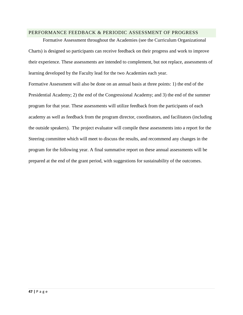#### PERFORMANCE FEEDBACK & PERIODIC ASSESSMENT OF PROGRESS

Formative Assessment throughout the Academies (see the Curriculum Organizational Charts) is designed so participants can receive feedback on their progress and work to improve their experience. These assessments are intended to complement, but not replace, assessments of learning developed by the Faculty lead for the two Academies each year.

Formative Assessment will also be done on an annual basis at three points: 1) the end of the Presidential Academy; 2) the end of the Congressional Academy; and 3) the end of the summer program for that year. These assessments will utilize feedback from the participants of each academy as well as feedback from the program director, coordinators, and facilitators (including the outside speakers). The project evaluator will compile these assessments into a report for the Steering committee which will meet to discuss the results, and recommend any changes in the program for the following year. A final summative report on these annual assessments will be prepared at the end of the grant period, with suggestions for sustainability of the outcomes.